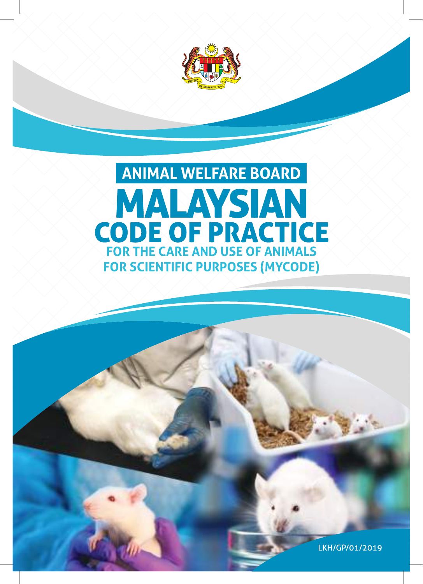

# **ANIMAL WELFARE BOARD MALAYSIAN CODE OF PRACTICE FOR SCIENTIFIC PURPOSES (MYCODE)**

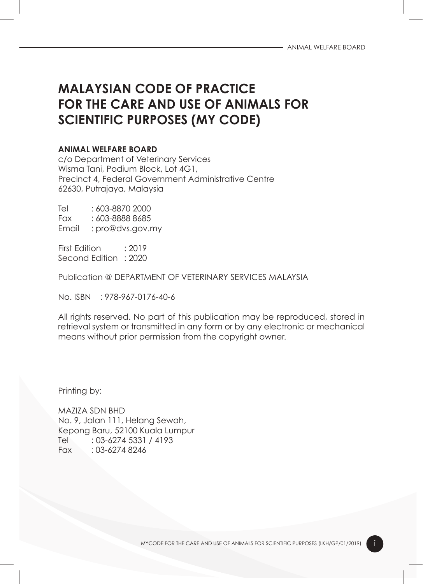# **MALAYSIAN CODE OF PRACTICE FOR THE CARE AND USE OF ANIMALS FOR SCIENTIFIC PURPOSES (MY CODE)**

# **ANIMAL WELFARE BOARD**

c/o Department of Veterinary Services Wisma Tani, Podium Block, Lot 4G1, Precinct 4, Federal Government Administrative Centre 62630, Putrajaya, Malaysia

Tel : 603-8870 2000<br>Fax : 603-8888 8685 Fax : 603-8888 8685 Email : pro@dvs.gov.my

First Edition : 2019 Second Edition : 2020

Publication @ DEPARTMENT OF VETERINARY SERVICES MALAYSIA

No. ISBN : 978-967-0176-40-6

All rights reserved. No part of this publication may be reproduced, stored in retrieval system or transmitted in any form or by any electronic or mechanical means without prior permission from the copyright owner.

Printing by:

MAZIZA SDN BHD No. 9, Jalan 111, Helang Sewah, Kepong Baru, 52100 Kuala Lumpur Tel : 03-6274 5331 / 4193 Fax : 03-6274 8246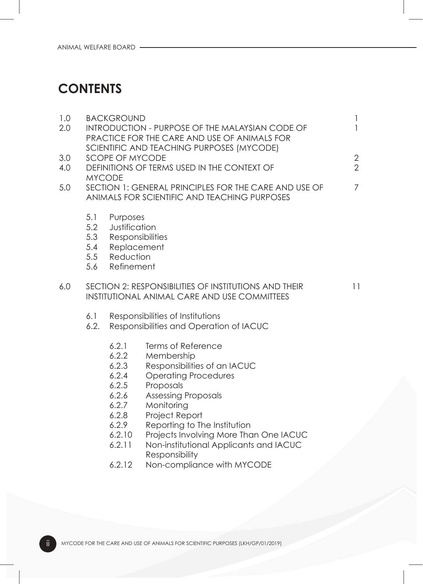# **CONTENTS**

| 1.0<br>2.0 | <b>BACKGROUND</b><br><b>INTRODUCTION - PURPOSE OF THE MALAYSIAN CODE OF</b><br>PRACTICE FOR THE CARE AND USE OF ANIMALS FOR  |                                                                                                             |                                                                                                                                                                                                                                                                                                                                                |  |  |  |  |  |
|------------|------------------------------------------------------------------------------------------------------------------------------|-------------------------------------------------------------------------------------------------------------|------------------------------------------------------------------------------------------------------------------------------------------------------------------------------------------------------------------------------------------------------------------------------------------------------------------------------------------------|--|--|--|--|--|
| 3.0<br>4.0 | SCIENTIFIC AND TEACHING PURPOSES (MYCODE)<br>SCOPE OF MYCODE<br>DEFINITIONS OF TERMS USED IN THE CONTEXT OF<br><b>MYCODE</b> |                                                                                                             |                                                                                                                                                                                                                                                                                                                                                |  |  |  |  |  |
| 5.0        | SECTION 1: GENERAL PRINCIPLES FOR THE CARE AND USE OF<br>$\overline{7}$<br>ANIMALS FOR SCIENTIFIC AND TEACHING PURPOSES      |                                                                                                             |                                                                                                                                                                                                                                                                                                                                                |  |  |  |  |  |
|            | 5.1<br>5.2<br>5.5<br>5.6                                                                                                     | Purposes<br>Justification<br>5.3 Responsibilities<br>5.4 Replacement<br>Reduction<br>Refinement             |                                                                                                                                                                                                                                                                                                                                                |  |  |  |  |  |
| 6.0        | SECTION 2: RESPONSIBILITIES OF INSTITUTIONS AND THEIR<br>11<br>INSTITUTIONAL ANIMAL CARE AND USE COMMITTEES                  |                                                                                                             |                                                                                                                                                                                                                                                                                                                                                |  |  |  |  |  |
|            | 6.1<br>6.2.                                                                                                                  | Responsibilities of Institutions<br>Responsibilities and Operation of IACUC                                 |                                                                                                                                                                                                                                                                                                                                                |  |  |  |  |  |
|            |                                                                                                                              | 6.2.1<br>6.2.2<br>6.2.3<br>6.2.4<br>6.2.5<br>6.2.6<br>6.2.7<br>6.2.8<br>6.2.9<br>6.2.10<br>6.2.11<br>6.2.12 | Terms of Reference<br>Membership<br>Responsibilities of an IACUC<br><b>Operating Procedures</b><br>Proposals<br><b>Assessing Proposals</b><br>Monitoring<br>Project Report<br>Reporting to The Institution<br>Projects Involving More Than One IACUC<br>Non-institutional Applicants and IACUC<br>Responsibility<br>Non-compliance with MYCODE |  |  |  |  |  |
|            |                                                                                                                              |                                                                                                             |                                                                                                                                                                                                                                                                                                                                                |  |  |  |  |  |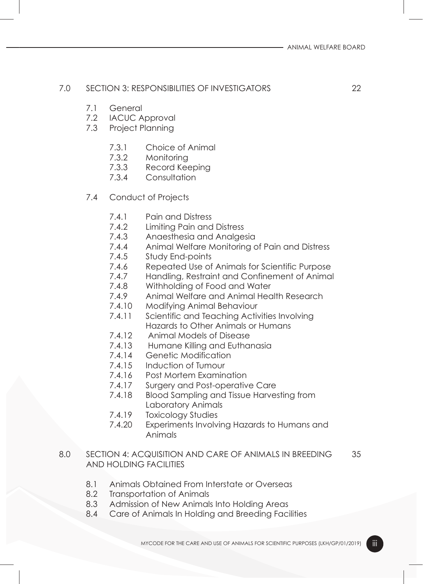#### 7.0 SECTION 3: RESPONSIBILITIES OF INVESTIGATORS

- 7.1 General
- 7.2 IACUC Approval<br>7.3 Project Planning
- Project Planning
	- 7.3.1 Choice of Animal
	- 7.3.2 Monitoring
	- 7.3.3 Record Keeping
	- 7.3.4 Consultation
- 7.4 Conduct of Projects
	- 7.4.1 Pain and Distress
	- 7.4.2 Limiting Pain and Distress<br>7.4.3 Angesthesia and Anglae
	- 7.4.3 Anaesthesia and Analgesia
	- 7.4.4 Animal Welfare Monitoring of Pain and Distress
	- 7.4.5 Study End-points
	- 7.4.6 Repeated Use of Animals for Scientific Purpose
	- 7.4.7 Handling, Restraint and Confinement of Animal
	- 7.4.8 Withholding of Food and Water
	- 7.4.9 Animal Welfare and Animal Health Research
	- 7.4.10 Modifying Animal Behaviour
	- 7.4.11 Scientific and Teaching Activities Involving Hazards to Other Animals or Humans
	- 7.4.12 Animal Models of Disease
	- 7.4.13 Humane Killing and Euthanasia
	- 7.4.14 Genetic Modification<br>7.4.15 Induction of Tumour
	- 7.4.15 Induction of Tumour
	- 7.4.16 Post Mortem Examination
	- 7.4.17 Surgery and Post-operative Care
	- 7.4.18 Blood Sampling and Tissue Harvesting from Laboratory Animals
	- 7.4.19 Toxicology Studies
	- 7.4.20 Experiments Involving Hazards to Humans and Animals

#### 8.0 SECTION 4: ACQUISITION AND CARE OF ANIMALS IN BREEDING AND HOLDING FACILITIES 35

- 8.1 Animals Obtained From Interstate or Overseas
- 8.2 Transportation of Animals
- 8.3 Admission of New Animals Into Holding Areas
- 8.4 Care of Animals In Holding and Breeding Facilities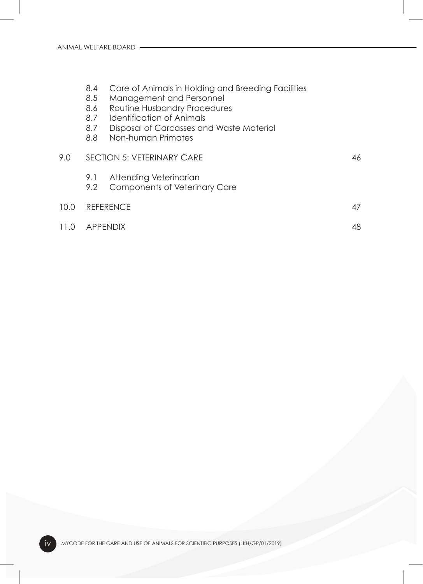|  | Care of Animals in Holding and Breeding Facilities |  |  |
|--|----------------------------------------------------|--|--|
|--|----------------------------------------------------|--|--|

- 8.5 Management and Personnel<br>8.6 Routine Husbandry Procedure
- 8.6 Routine Husbandry Procedures
- 8.7 Identification of Animals<br>8.7 Disposal of Carcasses are
- 8.7 Disposal of Carcasses and Waste Material<br>8.8 Non-human Primates
- Non-human Primates

# 9.0 SECTION 5: VETERINARY CARE

- 9.1 Attending Veterinarian
- 9.2 Components of Veterinary Care

| 10.0 REFERENCE |  |  |  | 47 |
|----------------|--|--|--|----|
|                |  |  |  |    |

46

48

11.0 APPENDIX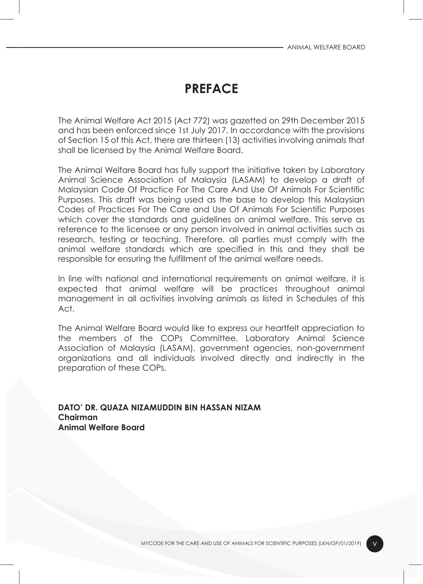# **PREFACE**

The Animal Welfare Act 2015 (Act 772) was gazetted on 29th December 2015 and has been enforced since 1st July 2017. In accordance with the provisions of Section 15 of this Act, there are thirteen (13) activities involving animals that shall be licensed by the Animal Welfare Board.

The Animal Welfare Board has fully support the initiative taken by Laboratory Animal Science Association of Malaysia (LASAM) to develop a draft of Malaysian Code Of Practice For The Care And Use Of Animals For Scientific Purposes. This draft was being used as the base to develop this Malaysian Codes of Practices For The Care and Use Of Animals For Scientific Purposes which cover the standards and guidelines on animal welfare. This serve as reference to the licensee or any person involved in animal activities such as research, testing or teaching. Therefore, all parties must comply with the animal welfare standards which are specified in this and they shall be responsible for ensuring the fulfillment of the animal welfare needs.

In line with national and international requirements on animal welfare, it is expected that animal welfare will be practices throughout animal management in all activities involving animals as listed in Schedules of this Act.

The Animal Welfare Board would like to express our heartfelt appreciation to the members of the COPs Committee, Laboratory Animal Science Association of Malaysia (LASAM), government agencies, non-government organizations and all individuals involved directly and indirectly in the preparation of these COPs.

**DATO' DR. QUAZA NIZAMUDDIN BIN HASSAN NIZAM Chairman Animal Welfare Board**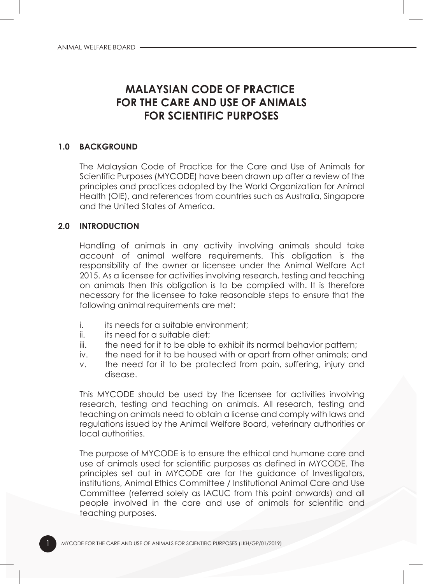# **MALAYSIAN CODE OF PRACTICE FOR THE CARE AND USE OF ANIMALS FOR SCIENTIFIC PURPOSES**

# **1.0 BACKGROUND**

The Malaysian Code of Practice for the Care and Use of Animals for Scientific Purposes (MYCODE) have been drawn up after a review of the principles and practices adopted by the World Organization for Animal Health (OIE), and references from countries such as Australia, Singapore and the United States of America.

# **2.0 INTRODUCTION**

Handling of animals in any activity involving animals should take account of animal welfare requirements. This obligation is the responsibility of the owner or licensee under the Animal Welfare Act 2015. As a licensee for activities involving research, testing and teaching on animals then this obligation is to be complied with. It is therefore necessary for the licensee to take reasonable steps to ensure that the following animal requirements are met:

- i. its needs for a suitable environment:
- ii. its need for a suitable diet;
- iii. the need for it to be able to exhibit its normal behavior pattern;
- iv. the need for it to be housed with or apart from other animals; and
- v. the need for it to be protected from pain, suffering, injury and disease.

This MYCODE should be used by the licensee for activities involving research, testing and teaching on animals. All research, testing and teaching on animals need to obtain a license and comply with laws and regulations issued by the Animal Welfare Board, veterinary authorities or local authorities.

The purpose of MYCODE is to ensure the ethical and humane care and use of animals used for scientific purposes as defined in MYCODE. The principles set out in MYCODE are for the guidance of Investigators, institutions, Animal Ethics Committee / Institutional Animal Care and Use Committee (referred solely as IACUC from this point onwards) and all people involved in the care and use of animals for scientific and teaching purposes.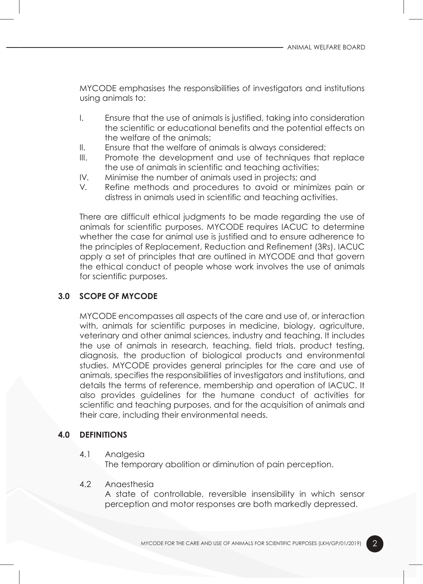MYCODE emphasises the responsibilities of investigators and institutions using animals to:

- I. Ensure that the use of animals is justified, taking into consideration the scientific or educational benefits and the potential effects on the welfare of the animals;
- II. Ensure that the welfare of animals is always considered;
- III. Promote the development and use of techniques that replace the use of animals in scientific and teaching activities;
- IV. Minimise the number of animals used in projects; and
- V. Refine methods and procedures to avoid or minimizes pain or distress in animals used in scientific and teaching activities.

There are difficult ethical judgments to be made regarding the use of animals for scientific purposes. MYCODE requires IACUC to determine whether the case for animal use is justified and to ensure adherence to the principles of Replacement, Reduction and Refinement (3Rs). IACUC apply a set of principles that are outlined in MYCODE and that govern the ethical conduct of people whose work involves the use of animals for scientific purposes.

# **3.0 SCOPE OF MYCODE**

MYCODE encompasses all aspects of the care and use of, or interaction with, animals for scientific purposes in medicine, biology, gariculture, veterinary and other animal sciences, industry and teaching. It includes the use of animals in research, teaching, field trials, product testing, diagnosis, the production of biological products and environmental studies. MYCODE provides general principles for the care and use of animals, specifies the responsibilities of investigators and institutions, and details the terms of reference, membership and operation of IACUC. It also provides guidelines for the humane conduct of activities for scientific and teaching purposes, and for the acquisition of animals and their care, including their environmental needs.

# **4.0 DEFINITIONS**

#### 4.1 Analgesia

The temporary abolition or diminution of pain perception.

#### 4.2 Anaesthesia

 A state of controllable, reversible insensibility in which sensor perception and motor responses are both markedly depressed.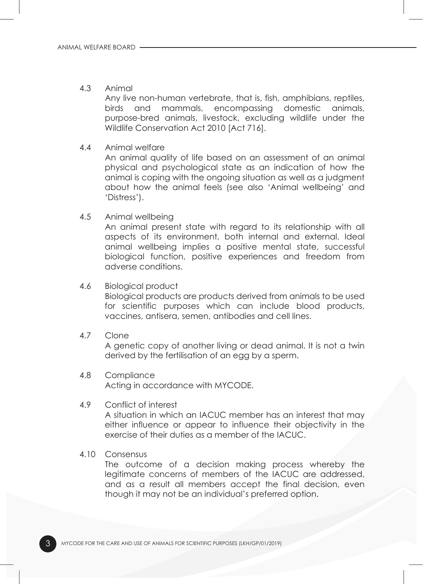#### 4.3 Animal

 Any live non-human vertebrate, that is, fish, amphibians, reptiles, birds and mammals, encompassing domestic animals, purpose-bred animals, livestock, excluding wildlife under the Wildlife Conservation Act 2010 [Act 716].

#### 4.4 Animal welfare

 An animal quality of life based on an assessment of an animal physical and psychological state as an indication of how the animal is coping with the ongoing situation as well as a judgment about how the animal feels (see also 'Animal wellbeing' and 'Distress').

4.5 Animal wellbeing

 An animal present state with regard to its relationship with all aspects of its environment, both internal and external. Ideal animal wellbeing implies a positive mental state, successful biological function, positive experiences and freedom from adverse conditions.

#### 4.6 Biological product

 Biological products are products derived from animals to be used for scientific purposes which can include blood products, vaccines, antisera, semen, antibodies and cell lines.

4.7 Clone

 A genetic copy of another living or dead animal. It is not a twin derived by the fertilisation of an egg by a sperm.

#### 4.8 Compliance Acting in accordance with MYCODE.

# 4.9 Conflict of interest

 A situation in which an IACUC member has an interest that may either influence or appear to influence their objectivity in the exercise of their duties as a member of the IACUC.

4.10 Consensus

 The outcome of a decision making process whereby the legitimate concerns of members of the IACUC are addressed, and as a result all members accept the final decision, even though it may not be an individual's preferred option.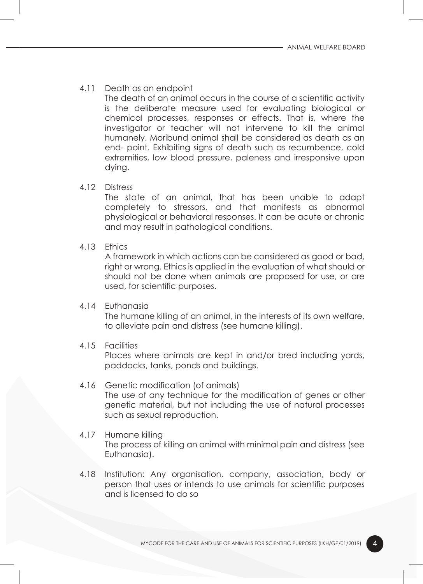4.11 Death as an endpoint

 The death of an animal occurs in the course of a scientific activity is the deliberate measure used for evaluating biological or chemical processes, responses or effects. That is, where the investigator or teacher will not intervene to kill the animal humanely. Moribund animal shall be considered as death as an end- point. Exhibiting signs of death such as recumbence, cold extremities, low blood pressure, paleness and irresponsive upon dying.

#### 4.12 Distress

 The state of an animal, that has been unable to adapt completely to stressors, and that manifests as abnormal physiological or behavioral responses. It can be acute or chronic and may result in pathological conditions.

# 4.13 Ethics

 A framework in which actions can be considered as good or bad, right or wrong. Ethics is applied in the evaluation of what should or should not be done when animals are proposed for use, or are used, for scientific purposes.

#### 4.14 Euthanasia

 The humane killing of an animal, in the interests of its own welfare, to alleviate pain and distress (see humane killing).

#### 4.15 Facilities

 Places where animals are kept in and/or bred including yards, paddocks, tanks, ponds and buildings.

#### 4.16 Genetic modification (of animals) The use of any technique for the modification of genes or other

genetic material, but not including the use of natural processes such as sexual reproduction.

# 4.17 Humane killing The process of killing an animal with minimal pain and distress (see Euthanasia).

4.18 Institution: Any organisation, company, association, body or person that uses or intends to use animals for scientific purposes and is licensed to do so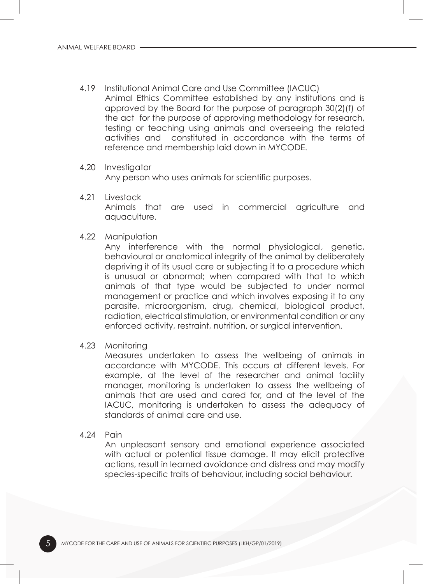4.19 Institutional Animal Care and Use Committee (IACUC) Animal Ethics Committee established by any institutions and is approved by the Board for the purpose of paragraph 30(2)(f) of the act for the purpose of approving methodology for research, testing or teaching using animals and overseeing the related activities and constituted in accordance with the terms of reference and membership laid down in MYCODE.

#### 4.20 Investigator Any person who uses animals for scientific purposes.

- 4.21 Livestock Animals that are used in commercial agriculture and aquaculture.
- 4.22 Manipulation

 Any interference with the normal physiological, genetic, behavioural or anatomical integrity of the animal by deliberately depriving it of its usual care or subjecting it to a procedure which is unusual or abnormal; when compared with that to which animals of that type would be subjected to under normal management or practice and which involves exposing it to any parasite, microorganism, drug, chemical, biological product, radiation, electrical stimulation, or environmental condition or any enforced activity, restraint, nutrition, or surgical intervention.

4.23 Monitoring

 Measures undertaken to assess the wellbeing of animals in accordance with MYCODE. This occurs at different levels. For example, at the level of the researcher and animal facility manager, monitoring is undertaken to assess the wellbeing of animals that are used and cared for, and at the level of the IACUC, monitoring is undertaken to assess the adequacy of standards of animal care and use.

4.24 Pain

 An unpleasant sensory and emotional experience associated with actual or potential tissue damage. It may elicit protective actions, result in learned avoidance and distress and may modify species-specific traits of behaviour, including social behaviour.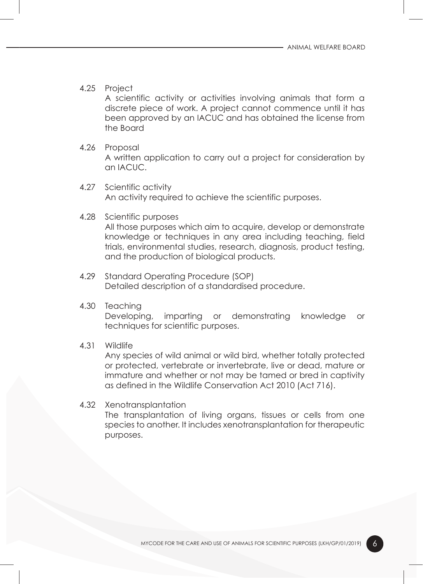#### 4.25 Project

 A scientific activity or activities involving animals that form a discrete piece of work. A project cannot commence until it has been approved by an IACUC and has obtained the license from the Board

#### 4.26 Proposal

 A written application to carry out a project for consideration by an IACUC.

#### 4.27 Scientific activity An activity required to achieve the scientific purposes.

#### 4.28 Scientific purposes

 All those purposes which aim to acquire, develop or demonstrate knowledge or techniques in any area including teaching, field trials, environmental studies, research, diagnosis, product testing, and the production of biological products.

#### 4.29 Standard Operating Procedure (SOP) Detailed description of a standardised procedure.

#### 4.30 Teaching

 Developing, imparting or demonstrating knowledge or techniques for scientific purposes.

#### 4.31 Wildlife

 Any species of wild animal or wild bird, whether totally protected or protected, vertebrate or invertebrate, live or dead, mature or immature and whether or not may be tamed or bred in captivity as defined in the Wildlife Conservation Act 2010 (Act 716).

# 4.32 Xenotransplantation

 The transplantation of living organs, tissues or cells from one species to another. It includes xenotransplantation for therapeutic purposes.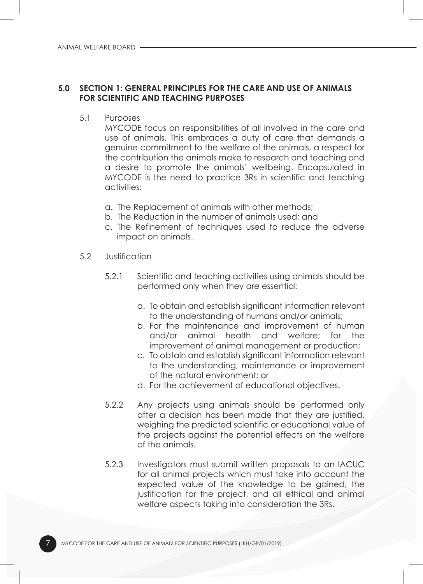# **5.0 SECTION 1: GENERAL PRINCIPLES FOR THE CARE AND USE OF ANIMALS FOR SCIENTIFIC AND TEACHING PURPOSES**

5.1 Purposes

 MYCODE focus on responsibilities of all involved in the care and use of animals. This embraces a duty of care that demands a genuine commitment to the welfare of the animals, a respect for the contribution the animals make to research and teaching and a desire to promote the animals' wellbeing. Encapsulated in MYCODE is the need to practice 3Rs in scientific and teaching activities:

- a. The Replacement of animals with other methods;
- b. The Reduction in the number of animals used; and
- c. The Refinement of techniques used to reduce the adverse impact on animals.
- 5.2 Justification
	- 5.2.1 Scientific and teaching activities using animals should be performed only when they are essential:
		- a. To obtain and establish significant information relevant to the understanding of humans and/or animals;
		- b. For the maintenance and improvement of human and/or animal health and welfare; for the improvement of animal management or production;
		- c. To obtain and establish significant information relevant to the understanding, maintenance or improvement of the natural environment; or
		- d. For the achievement of educational objectives.
	- 5.2.2 Any projects using animals should be performed only after a decision has been made that they are justified, weighing the predicted scientific or educational value of the projects against the potential effects on the welfare of the animals.
	- 5.2.3 Investigators must submit written proposals to an IACUC for all animal projects which must take into account the expected value of the knowledge to be gained, the justification for the project, and all ethical and animal welfare aspects taking into consideration the 3Rs.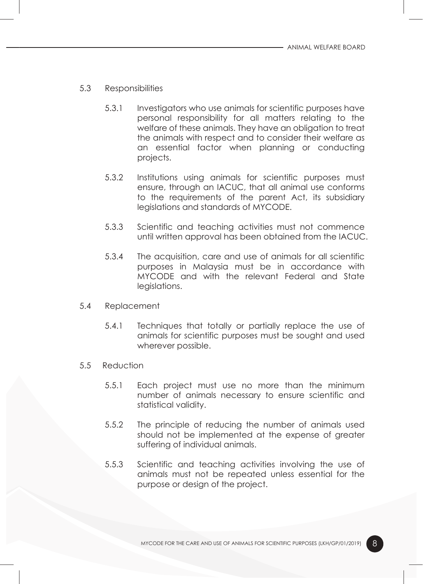- 5.3 Responsibilities
	- 5.3.1 Investigators who use animals for scientific purposes have personal responsibility for all matters relating to the welfare of these animals. They have an obligation to treat the animals with respect and to consider their welfare as an essential factor when planning or conducting projects.
	- 5.3.2 Institutions using animals for scientific purposes must ensure, through an IACUC, that all animal use conforms to the requirements of the parent Act, its subsidiary legislations and standards of MYCODE.
	- 5.3.3 Scientific and teaching activities must not commence until written approval has been obtained from the IACUC.
	- 5.3.4 The acquisition, care and use of animals for all scientific purposes in Malaysia must be in accordance with MYCODE and with the relevant Federal and State legislations.
- 5.4 Replacement
	- 5.4.1 Techniques that totally or partially replace the use of animals for scientific purposes must be sought and used wherever possible.
- 5.5 Reduction
	- 5.5.1 Each project must use no more than the minimum number of animals necessary to ensure scientific and statistical validity.
	- 5.5.2 The principle of reducing the number of animals used should not be implemented at the expense of greater suffering of individual animals.
	- 5.5.3 Scientific and teaching activities involving the use of animals must not be repeated unless essential for the purpose or design of the project.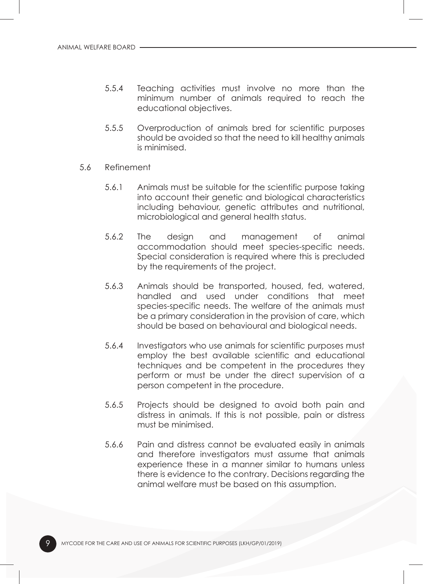- 5.5.4 Teaching activities must involve no more than the minimum number of animals required to reach the educational objectives.
- 5.5.5 Overproduction of animals bred for scientific purposes should be avoided so that the need to kill healthy animals is minimised.
- 5.6 Refinement
	- 5.6.1 Animals must be suitable for the scientific purpose taking into account their genetic and biological characteristics including behaviour, genetic attributes and nutritional, microbiological and general health status.
	- 5.6.2 The design and management of animal accommodation should meet species-specific needs. Special consideration is required where this is precluded by the requirements of the project.
	- 5.6.3 Animals should be transported, housed, fed, watered, handled and used under conditions that meet species-specific needs. The welfare of the animals must be a primary consideration in the provision of care, which should be based on behavioural and biological needs.
	- 5.6.4 Investigators who use animals for scientific purposes must employ the best available scientific and educational techniques and be competent in the procedures they perform or must be under the direct supervision of a person competent in the procedure.
	- 5.6.5 Projects should be designed to avoid both pain and distress in animals. If this is not possible, pain or distress must be minimised.
	- 5.6.6 Pain and distress cannot be evaluated easily in animals and therefore investigators must assume that animals experience these in a manner similar to humans unless there is evidence to the contrary. Decisions regarding the animal welfare must be based on this assumption.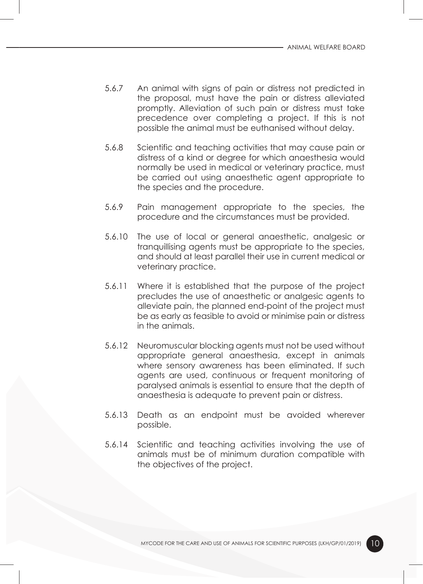- 5.6.7 An animal with signs of pain or distress not predicted in the proposal, must have the pain or distress alleviated promptly. Alleviation of such pain or distress must take precedence over completing a project. If this is not possible the animal must be euthanised without delay.
- 5.6.8 Scientific and teaching activities that may cause pain or distress of a kind or degree for which anaesthesia would normally be used in medical or veterinary practice, must be carried out using anaesthetic agent appropriate to the species and the procedure.
- 5.6.9 Pain management appropriate to the species, the procedure and the circumstances must be provided.
- 5.6.10 The use of local or general anaesthetic, analgesic or tranquillising agents must be appropriate to the species, and should at least parallel their use in current medical or veterinary practice.
- 5.6.11 Where it is established that the purpose of the project precludes the use of anaesthetic or analgesic agents to alleviate pain, the planned end-point of the project must be as early as feasible to avoid or minimise pain or distress in the animals.
- 5.6.12 Neuromuscular blocking agents must not be used without appropriate general anaesthesia, except in animals where sensory awareness has been eliminated. If such agents are used, continuous or frequent monitoring of paralysed animals is essential to ensure that the depth of anaesthesia is adequate to prevent pain or distress.
- 5.6.13 Death as an endpoint must be avoided wherever possible.
- 5.6.14 Scientific and teaching activities involving the use of animals must be of minimum duration compatible with the objectives of the project.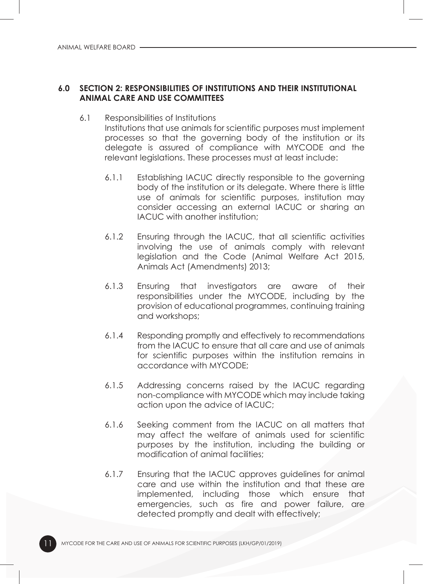# **6.0 SECTION 2: RESPONSIBILITIES OF INSTITUTIONS AND THEIR INSTITUTIONAL ANIMAL CARE AND USE COMMITTEES**

- 6.1 Responsibilities of Institutions Institutions that use animals for scientific purposes must implement processes so that the governing body of the institution or its delegate is assured of compliance with MYCODE and the relevant legislations. These processes must at least include:
	- 6.1.1 Establishing IACUC directly responsible to the governing body of the institution or its delegate. Where there is little use of animals for scientific purposes, institution may consider accessing an external IACUC or sharing an IACUC with another institution;
	- 6.1.2 Ensuring through the IACUC, that all scientific activities involving the use of animals comply with relevant legislation and the Code (Animal Welfare Act 2015, Animals Act (Amendments) 2013;
	- 6.1.3 Ensuring that investigators are aware of their responsibilities under the MYCODE, including by the provision of educational programmes, continuing training and workshops;
	- 6.1.4 Responding promptly and effectively to recommendations from the IACUC to ensure that all care and use of animals for scientific purposes within the institution remains in accordance with MYCODE;
	- 6.1.5 Addressing concerns raised by the IACUC regarding non-compliance with MYCODE which may include taking action upon the advice of IACUC;
	- 6.1.6 Seeking comment from the IACUC on all matters that may affect the welfare of animals used for scientific purposes by the institution, including the building or modification of animal facilities;
	- 6.1.7 Ensuring that the IACUC approves guidelines for animal care and use within the institution and that these are implemented, including those which ensure that emergencies, such as fire and power failure, are detected promptly and dealt with effectively;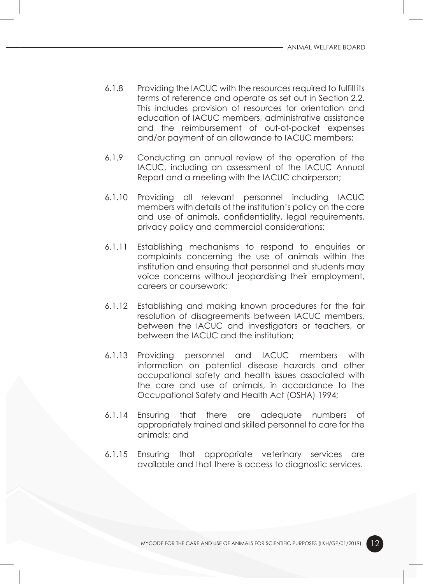- 6.1.8 Providing the IACUC with the resources required to fulfill its terms of reference and operate as set out in Section 2.2. This includes provision of resources for orientation and education of IACUC members, administrative assistance and the reimbursement of out-of-pocket expenses and/or payment of an allowance to IACUC members;
- 6.1.9 Conducting an annual review of the operation of the IACUC, including an assessment of the IACUC Annual Report and a meeting with the IACUC chairperson;
- 6.1.10 Providing all relevant personnel including IACUC members with details of the institution's policy on the care and use of animals, confidentiality, legal requirements, privacy policy and commercial considerations;
- 6.1.11 Establishing mechanisms to respond to enquiries or complaints concerning the use of animals within the institution and ensuring that personnel and students may voice concerns without jeopardising their employment, careers or coursework;
- 6.1.12 Establishing and making known procedures for the fair resolution of disagreements between IACUC members, between the IACUC and investigators or teachers, or between the IACUC and the institution;
- 6.1.13 Providing personnel and IACUC members with information on potential disease hazards and other occupational safety and health issues associated with the care and use of animals, in accordance to the Occupational Safety and Health Act (OSHA) 1994;
- 6.1.14 Ensuring that there are adequate numbers of appropriately trained and skilled personnel to care for the animals; and
- 6.1.15 Ensuring that appropriate veterinary services are available and that there is access to diagnostic services.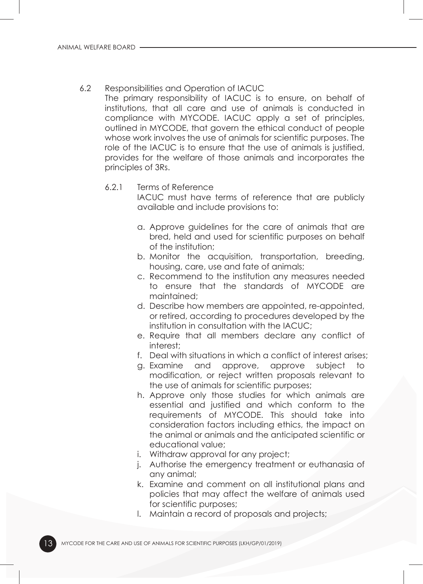6.2 Responsibilities and Operation of IACUC

 The primary responsibility of IACUC is to ensure, on behalf of institutions, that all care and use of animals is conducted in compliance with MYCODE. IACUC apply a set of principles, outlined in MYCODE, that govern the ethical conduct of people whose work involves the use of animals for scientific purposes. The role of the IACUC is to ensure that the use of animals is justified, provides for the welfare of those animals and incorporates the principles of 3Rs.

# 6.2.1 Terms of Reference

 IACUC must have terms of reference that are publicly available and include provisions to:

- a. Approve guidelines for the care of animals that are bred, held and used for scientific purposes on behalf of the institution;
- b. Monitor the acquisition, transportation, breeding, housing, care, use and fate of animals;
- c. Recommend to the institution any measures needed to ensure that the standards of MYCODE are maintained;
- d. Describe how members are appointed, re-appointed, or retired, according to procedures developed by the institution in consultation with the IACUC;
- e. Require that all members declare any conflict of interest;
- f. Deal with situations in which a conflict of interest arises:
- g. Examine and approve, approve subject to modification, or reject written proposals relevant to the use of animals for scientific purposes;
- h. Approve only those studies for which animals are essential and justified and which conform to the requirements of MYCODE. This should take into consideration factors including ethics, the impact on the animal or animals and the anticipated scientific or educational value;
- i. Withdraw approval for any project;
- j. Authorise the emergency treatment or euthanasia of any animal;
- k. Examine and comment on all institutional plans and policies that may affect the welfare of animals used for scientific purposes;
- l. Maintain a record of proposals and projects;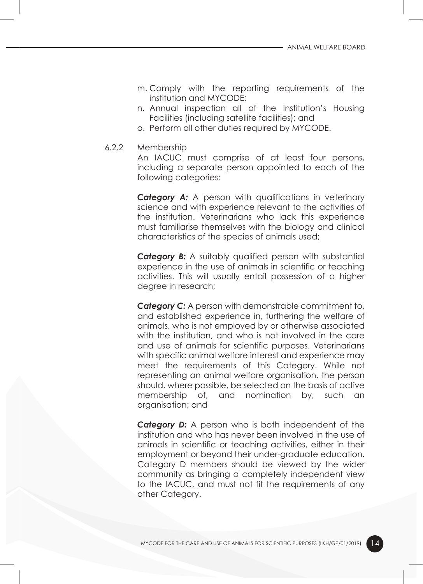- m. Comply with the reporting requirements of the institution and MYCODE;
- n. Annual inspection all of the Institution's Housing Facilities (including satellite facilities); and
- o. Perform all other duties required by MYCODE.
- 6.2.2 Membership

 An IACUC must comprise of at least four persons, including a separate person appointed to each of the following categories:

**Category A:** A person with qualifications in veterinary science and with experience relevant to the activities of the institution. Veterinarians who lack this experience must familiarise themselves with the biology and clinical characteristics of the species of animals used;

**Category B:** A suitably qualified person with substantial experience in the use of animals in scientific or teaching activities. This will usually entail possession of a higher degree in research;

*Category C: A person with demonstrable commitment to,* and established experience in, furthering the welfare of animals, who is not employed by or otherwise associated with the institution, and who is not involved in the care and use of animals for scientific purposes. Veterinarians with specific animal welfare interest and experience may meet the requirements of this Category. While not representing an animal welfare organisation, the person should, where possible, be selected on the basis of active membership of, and nomination by, such an organisation; and

**Category D:** A person who is both independent of the institution and who has never been involved in the use of animals in scientific or teaching activities, either in their employment or beyond their under-graduate education. Category D members should be viewed by the wider community as bringing a completely independent view to the IACUC, and must not fit the requirements of any other Category.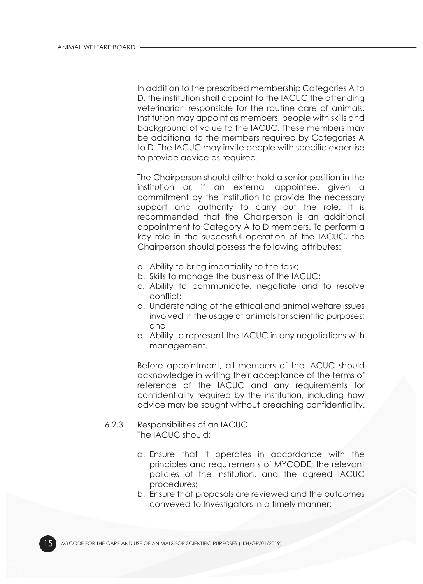In addition to the prescribed membership Categories A to D, the institution shall appoint to the IACUC the attending veterinarian responsible for the routine care of animals. Institution may appoint as members, people with skills and background of value to the IACUC. These members may be additional to the members required by Categories A to D. The IACUC may invite people with specific expertise to provide advice as required.

 The Chairperson should either hold a senior position in the institution or, if an external appointee, given a commitment by the institution to provide the necessary support and authority to carry out the role. It is recommended that the Chairperson is an additional appointment to Category A to D members. To perform a key role in the successful operation of the IACUC, the Chairperson should possess the following attributes:

- a. Ability to bring impartiality to the task;
- b. Skills to manage the business of the IACUC;
- c. Ability to communicate, negotiate and to resolve conflict;
- d. Understanding of the ethical and animal welfare issues involved in the usage of animals for scientific purposes; and
- e. Ability to represent the IACUC in any negotiations with management.

 Before appointment, all members of the IACUC should acknowledge in writing their acceptance of the terms of reference of the IACUC and any requirements for confidentiality required by the institution, including how advice may be sought without breaching confidentiality.

- 6.2.3 Responsibilities of an IACUC The IACUC should:
	- a. Ensure that it operates in accordance with the principles and requirements of MYCODE; the relevant policies of the institution, and the agreed IACUC procedures;
	- b. Ensure that proposals are reviewed and the outcomes conveyed to Investigators in a timely manner;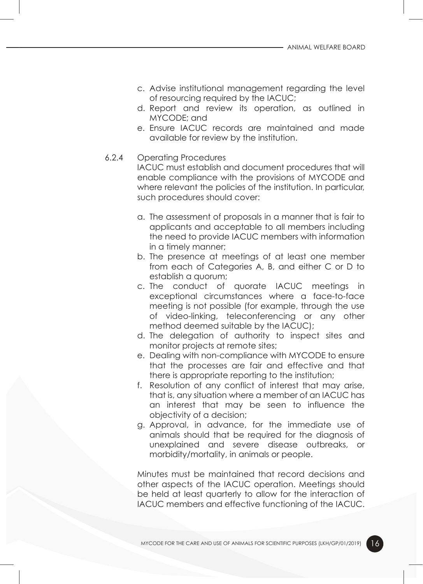- c. Advise institutional management regarding the level of resourcing required by the IACUC;
- d. Report and review its operation, as outlined in MYCODE; and
- e. Ensure IACUC records are maintained and made available for review by the institution.

#### 6.2.4 Operating Procedures

 IACUC must establish and document procedures that will enable compliance with the provisions of MYCODE and where relevant the policies of the institution. In particular, such procedures should cover:

- a. The assessment of proposals in a manner that is fair to applicants and acceptable to all members including the need to provide IACUC members with information in a timely manner;
- b. The presence at meetings of at least one member from each of Categories A, B, and either C or D to establish a quorum;
- c. The conduct of quorate IACUC meetings in exceptional circumstances where a face-to-face meeting is not possible (for example, through the use of video-linking, teleconferencing or any other method deemed suitable by the IACUC);
- d. The delegation of authority to inspect sites and monitor projects at remote sites;
- e. Dealing with non-compliance with MYCODE to ensure that the processes are fair and effective and that there is appropriate reporting to the institution;
- f. Resolution of any conflict of interest that may arise, that is, any situation where a member of an IACUC has an interest that may be seen to influence the objectivity of a decision;
- g. Approval, in advance, for the immediate use of animals should that be required for the diagnosis of unexplained and severe disease outbreaks, or morbidity/mortality, in animals or people.

 Minutes must be maintained that record decisions and other aspects of the IACUC operation. Meetings should be held at least quarterly to allow for the interaction of IACUC members and effective functioning of the IACUC.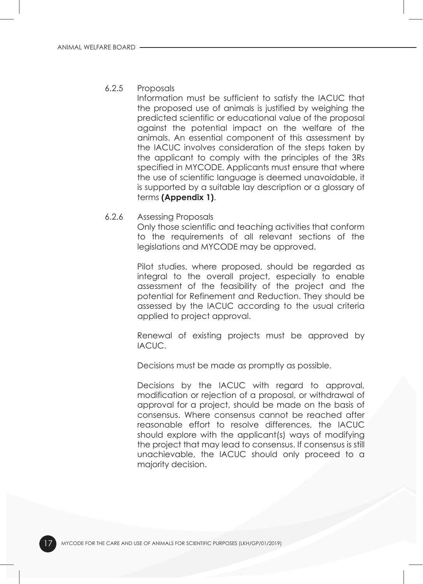#### 6.2.5 Proposals

 Information must be sufficient to satisfy the IACUC that the proposed use of animals is justified by weighing the predicted scientific or educational value of the proposal against the potential impact on the welfare of the animals. An essential component of this assessment by the IACUC involves consideration of the steps taken by the applicant to comply with the principles of the 3Rs specified in MYCODE. Applicants must ensure that where the use of scientific language is deemed unavoidable, it is supported by a suitable lay description or a glossary of terms **(Appendix 1)**.

# 6.2.6 Assessing Proposals

 Only those scientific and teaching activities that conform to the requirements of all relevant sections of the legislations and MYCODE may be approved.

 Pilot studies, where proposed, should be regarded as integral to the overall project, especially to enable assessment of the feasibility of the project and the potential for Refinement and Reduction. They should be assessed by the IACUC according to the usual criteria applied to project approval.

 Renewal of existing projects must be approved by IACUC.

Decisions must be made as promptly as possible.

 Decisions by the IACUC with regard to approval, modification or rejection of a proposal, or withdrawal of approval for a project, should be made on the basis of consensus. Where consensus cannot be reached after reasonable effort to resolve differences, the IACUC should explore with the applicant(s) ways of modifying the project that may lead to consensus. If consensus is still unachievable, the IACUC should only proceed to a majority decision.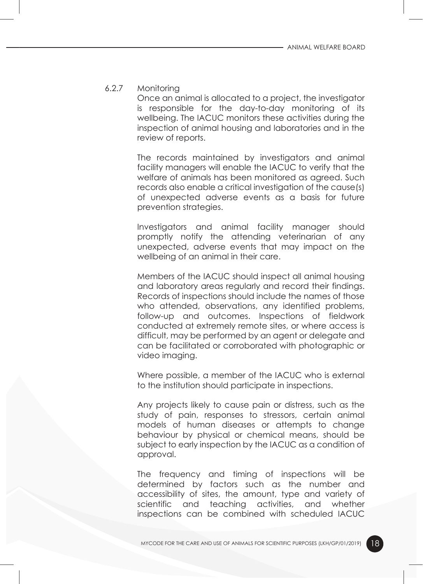#### 6.2.7 Monitoring

 Once an animal is allocated to a project, the investigator is responsible for the day-to-day monitoring of its wellbeing. The IACUC monitors these activities during the inspection of animal housing and laboratories and in the review of reports.

 The records maintained by investigators and animal facility managers will enable the IACUC to verify that the welfare of animals has been monitored as agreed. Such records also enable a critical investigation of the cause(s) of unexpected adverse events as a basis for future prevention strategies.

 Investigators and animal facility manager should promptly notify the attending veterinarian of any unexpected, adverse events that may impact on the wellbeing of an animal in their care.

 Members of the IACUC should inspect all animal housing and laboratory areas regularly and record their findings. Records of inspections should include the names of those who attended, observations, any identified problems, follow-up and outcomes. Inspections of fieldwork conducted at extremely remote sites, or where access is difficult, may be performed by an agent or delegate and can be facilitated or corroborated with photographic or video imaging.

 Where possible, a member of the IACUC who is external to the institution should participate in inspections.

 Any projects likely to cause pain or distress, such as the study of pain, responses to stressors, certain animal models of human diseases or attempts to change behaviour by physical or chemical means, should be subject to early inspection by the IACUC as a condition of approval.

 The frequency and timing of inspections will be determined by factors such as the number and accessibility of sites, the amount, type and variety of scientific and teaching activities, and whether inspections can be combined with scheduled IACUC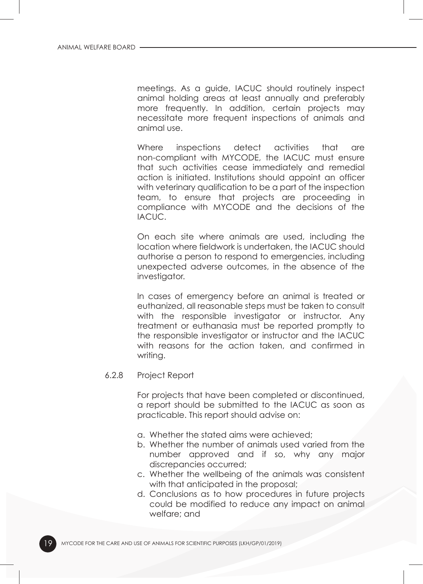meetings. As a guide, IACUC should routinely inspect animal holding areas at least annually and preferably more frequently. In addition, certain projects may necessitate more frequent inspections of animals and animal use.

Where inspections detect activities that are non-compliant with MYCODE, the IACUC must ensure that such activities cease immediately and remedial action is initiated. Institutions should appoint an officer with veterinary qualification to be a part of the inspection team, to ensure that projects are proceeding in compliance with MYCODE and the decisions of the IACUC.

 On each site where animals are used, including the location where fieldwork is undertaken, the IACUC should authorise a person to respond to emergencies, including unexpected adverse outcomes, in the absence of the investigator.

 In cases of emergency before an animal is treated or euthanized, all reasonable steps must be taken to consult with the responsible investigator or instructor. Any treatment or euthanasia must be reported promptly to the responsible investigator or instructor and the IACUC with reasons for the action taken, and confirmed in writing.

#### 6.2.8 Project Report

 For projects that have been completed or discontinued, a report should be submitted to the IACUC as soon as practicable. This report should advise on:

- a. Whether the stated aims were achieved;
- b. Whether the number of animals used varied from the number approved and if so, why any major discrepancies occurred;
- c. Whether the wellbeing of the animals was consistent with that anticipated in the proposal:
- d. Conclusions as to how procedures in future projects could be modified to reduce any impact on animal welfare; and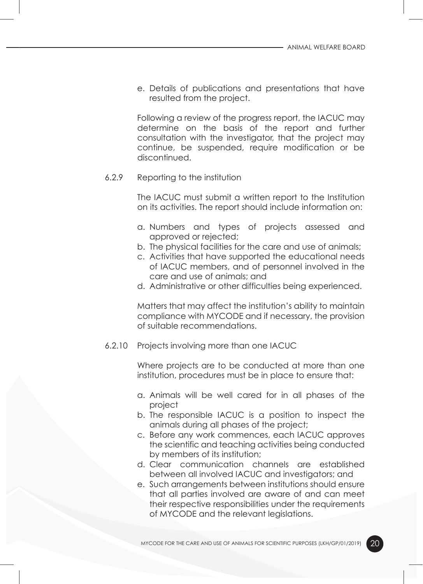e. Details of publications and presentations that have resulted from the project.

 Following a review of the progress report, the IACUC may determine on the basis of the report and further consultation with the investigator, that the project may continue, be suspended, require modification or be discontinued.

6.2.9 Reporting to the institution

 The IACUC must submit a written report to the Institution on its activities. The report should include information on:

- a. Numbers and types of projects assessed and approved or rejected;
- b. The physical facilities for the care and use of animals;
- c. Activities that have supported the educational needs of IACUC members, and of personnel involved in the care and use of animals; and
- d. Administrative or other difficulties being experienced.

 Matters that may affect the institution's ability to maintain compliance with MYCODE and if necessary, the provision of suitable recommendations.

6.2.10 Projects involving more than one IACUC

 Where projects are to be conducted at more than one institution, procedures must be in place to ensure that:

- a. Animals will be well cared for in all phases of the project
- b. The responsible IACUC is a position to inspect the animals during all phases of the project;
- c. Before any work commences, each IACUC approves the scientific and teaching activities being conducted by members of its institution;
- d. Clear communication channels are established between all involved IACUC and investigators; and
- e. Such arrangements between institutions should ensure that all parties involved are aware of and can meet their respective responsibilities under the requirements of MYCODE and the relevant legislations.

MYCODE FOR THE CARE AND USE OF ANIMALS FOR SCIENTIFIC PURPOSES (LKH/GP/01/2019) 20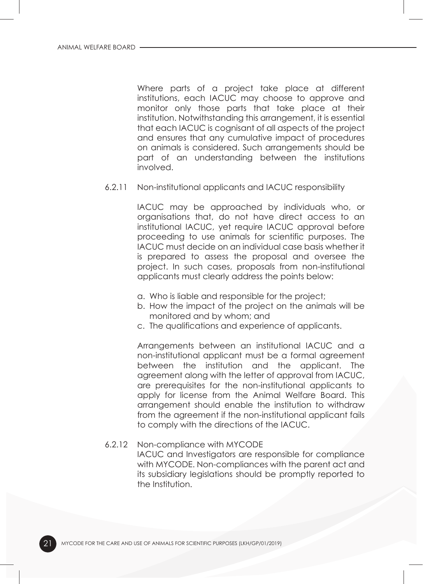Where parts of a project take place at different institutions, each IACUC may choose to approve and monitor only those parts that take place at their institution. Notwithstanding this arrangement, it is essential that each IACUC is cognisant of all aspects of the project and ensures that any cumulative impact of procedures on animals is considered. Such arrangements should be part of an understanding between the institutions involved.

6.2.11 Non-institutional applicants and IACUC responsibility

 IACUC may be approached by individuals who, or organisations that, do not have direct access to an institutional IACUC, yet require IACUC approval before proceeding to use animals for scientific purposes. The IACUC must decide on an individual case basis whether it is prepared to assess the proposal and oversee the project. In such cases, proposals from non-institutional applicants must clearly address the points below:

- a. Who is liable and responsible for the project;
- b. How the impact of the project on the animals will be monitored and by whom; and
- c. The qualifications and experience of applicants.

 Arrangements between an institutional IACUC and a non-institutional applicant must be a formal agreement between the institution and the applicant. The agreement along with the letter of approval from IACUC, are prerequisites for the non-institutional applicants to apply for license from the Animal Welfare Board. This arrangement should enable the institution to withdraw from the agreement if the non-institutional applicant fails to comply with the directions of the IACUC.

# 6.2.12 Non-compliance with MYCODE

 IACUC and Investigators are responsible for compliance with MYCODE. Non-compliances with the parent act and its subsidiary legislations should be promptly reported to the Institution.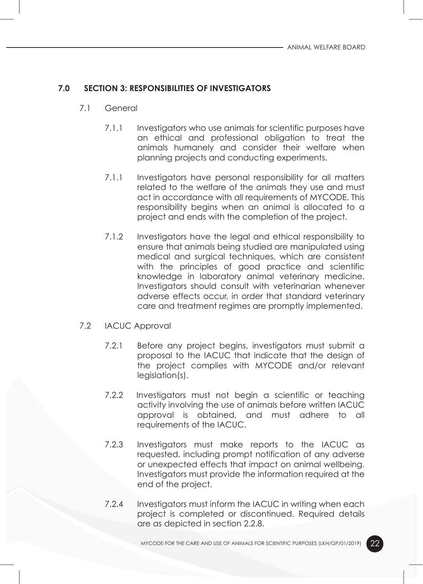# **7.0 SECTION 3: RESPONSIBILITIES OF INVESTIGATORS**

- 7.1 General
	- 7.1.1 Investigators who use animals for scientific purposes have an ethical and professional obligation to treat the animals humanely and consider their welfare when planning projects and conducting experiments.
	- 7.1.1 Investigators have personal responsibility for all matters related to the welfare of the animals they use and must act in accordance with all requirements of MYCODE. This responsibility begins when an animal is allocated to a project and ends with the completion of the project.
	- 7.1.2 Investigators have the legal and ethical responsibility to ensure that animals being studied are manipulated using medical and surgical techniques, which are consistent with the principles of good practice and scientific knowledge in laboratory animal veterinary medicine. Investigators should consult with veterinarian whenever adverse effects occur, in order that standard veterinary care and treatment regimes are promptly implemented.
- 7.2 IACUC Approval
	- 7.2.1 Before any project begins, investigators must submit a proposal to the IACUC that indicate that the design of the project complies with MYCODE and/or relevant legislation(s).
	- 7.2.2 Investigators must not begin a scientific or teaching activity involving the use of animals before written IACUC approval is obtained, and must adhere to all requirements of the IACUC.
	- 7.2.3 Investigators must make reports to the IACUC as requested, including prompt notification of any adverse or unexpected effects that impact on animal wellbeing. Investigators must provide the information required at the end of the project.
	- 7.2.4 Investigators must inform the IACUC in writing when each project is completed or discontinued. Required details are as depicted in section 2.2.8.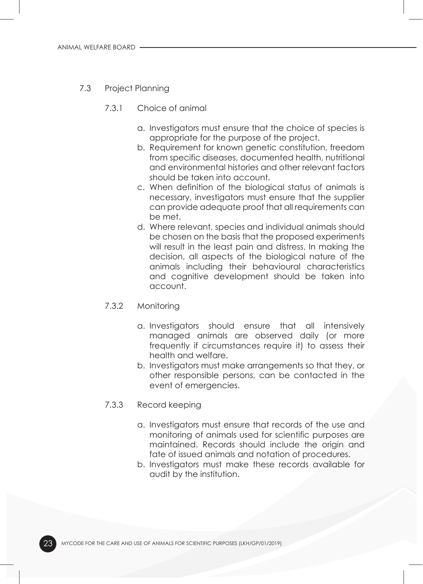# 7.3 Project Planning

- 7.3.1 Choice of animal
	- a. Investigators must ensure that the choice of species is appropriate for the purpose of the project.
	- b. Requirement for known genetic constitution, freedom from specific diseases, documented health, nutritional and environmental histories and other relevant factors should be taken into account.
	- c. When definition of the biological status of animals is necessary, investigators must ensure that the supplier can provide adequate proof that all requirements can be met.
	- d. Where relevant, species and individual animals should be chosen on the basis that the proposed experiments will result in the least pain and distress. In making the decision, all aspects of the biological nature of the animals including their behavioural characteristics and cognitive development should be taken into account.
- 7.3.2 Monitoring
	- a. Investigators should ensure that all intensively managed animals are observed daily (or more frequently if circumstances require it) to assess their health and welfare.
	- b. Investigators must make arrangements so that they, or other responsible persons, can be contacted in the event of emergencies.
- 7.3.3 Record keeping
	- a. Investigators must ensure that records of the use and monitoring of animals used for scientific purposes are maintained. Records should include the origin and fate of issued animals and notation of procedures.
	- b. Investigators must make these records available for audit by the institution.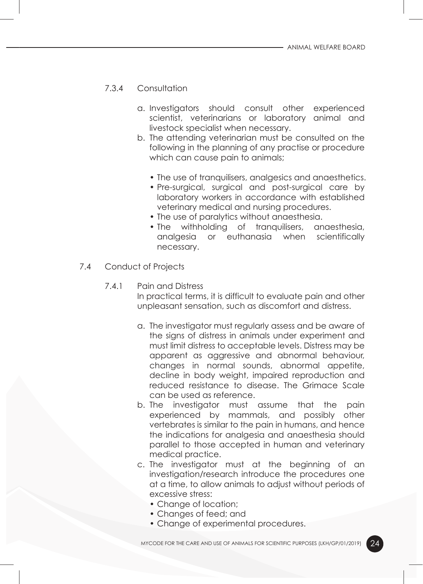# 7.3.4 Consultation

- a. Investigators should consult other experienced scientist, veterinarians or laboratory animal and livestock specialist when necessary.
- b. The attending veterinarian must be consulted on the following in the planning of any practise or procedure which can cause pain to animals;
	- The use of tranquilisers, analgesics and anaesthetics.
	- Pre-surgical, surgical and post-surgical care by laboratory workers in accordance with established veterinary medical and nursing procedures.
	- The use of paralytics without anaesthesia.
	- The withholding of tranquilisers, anaesthesia, analgesia or euthanasia when scientifically necessary.
- 7.4 Conduct of Projects
	- 7.4.1 Pain and Distress In practical terms, it is difficult to evaluate pain and other unpleasant sensation, such as discomfort and distress.
		- a. The investigator must regularly assess and be aware of the signs of distress in animals under experiment and must limit distress to acceptable levels. Distress may be apparent as aggressive and abnormal behaviour, changes in normal sounds, abnormal appetite, decline in body weight, impaired reproduction and reduced resistance to disease. The Grimace Scale can be used as reference.
		- b. The investigator must assume that the pain experienced by mammals, and possibly other vertebrates is similar to the pain in humans, and hence the indications for analgesia and anaesthesia should parallel to those accepted in human and veterinary medical practice.
		- c. The investigator must at the beginning of an investigation/research introduce the procedures one at a time, to allow animals to adjust without periods of excessive stress:
			- Change of location;
			- Changes of feed; and
			- Change of experimental procedures.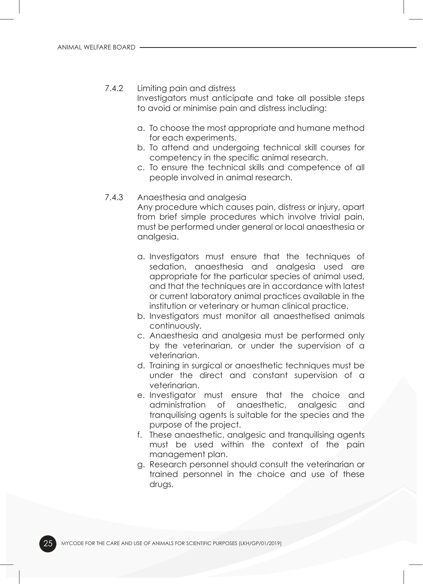- 7.4.2 Limiting pain and distress Investigators must anticipate and take all possible steps to avoid or minimise pain and distress including:
	- a. To choose the most appropriate and humane method for each experiments.
	- b. To attend and undergoing technical skill courses for competency in the specific animal research.
	- c. To ensure the technical skills and competence of all people involved in animal research.
- 7.4.3 Anaesthesia and analgesia

 Any procedure which causes pain, distress or injury, apart from brief simple procedures which involve trivial pain, must be performed under general or local anaesthesia or analgesia.

- a. Investigators must ensure that the techniques of sedation, anaesthesia and analgesia used are appropriate for the particular species of animal used, and that the techniques are in accordance with latest or current laboratory animal practices available in the institution or veterinary or human clinical practice.
- b. Investigators must monitor all anaesthetised animals continuously.
- c. Anaesthesia and analgesia must be performed only by the veterinarian, or under the supervision of a veterinarian.
- d. Training in surgical or anaesthetic techniques must be under the direct and constant supervision of a veterinarian.
- e. Investigator must ensure that the choice and administration of anaesthetic, analgesic and tranquilising agents is suitable for the species and the purpose of the project.
- f. These anaesthetic, analgesic and tranquilising agents must be used within the context of the pain management plan.
- g. Research personnel should consult the veterinarian or trained personnel in the choice and use of these drugs.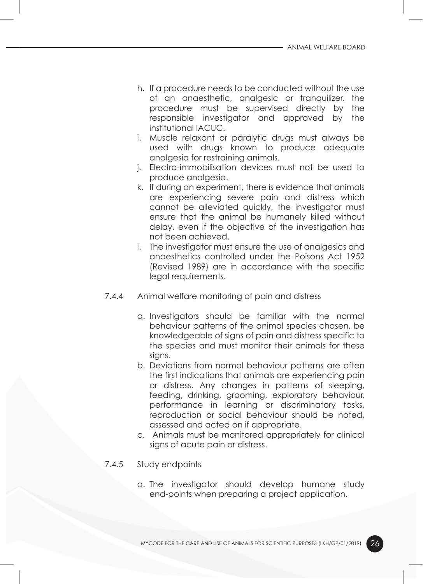- h. If a procedure needs to be conducted without the use of an anaesthetic, analgesic or tranquilizer, the procedure must be supervised directly by the responsible investigator and approved by the institutional IACUC.
- i. Muscle relaxant or paralytic drugs must always be used with drugs known to produce adequate analgesia for restraining animals.
- j. Electro-immobilisation devices must not be used to produce analgesia.
- k. If during an experiment, there is evidence that animals are experiencing severe pain and distress which cannot be alleviated quickly, the investigator must ensure that the animal be humanely killed without delay, even if the objective of the investigation has not been achieved.
- l. The investigator must ensure the use of analgesics and anaesthetics controlled under the Poisons Act 1952 (Revised 1989) are in accordance with the specific legal requirements.
- 7.4.4 Animal welfare monitoring of pain and distress
	- a. Investigators should be familiar with the normal behaviour patterns of the animal species chosen, be knowledgeable of signs of pain and distress specific to the species and must monitor their animals for these sians.
	- b. Deviations from normal behaviour patterns are often the first indications that animals are experiencing pain or distress. Any changes in patterns of sleeping, feeding, drinking, grooming, exploratory behaviour, performance in learning or discriminatory tasks, reproduction or social behaviour should be noted, assessed and acted on if appropriate.
	- c. Animals must be monitored appropriately for clinical signs of acute pain or distress.
- 7.4.5 Study endpoints
	- a. The investigator should develop humane study end-points when preparing a project application.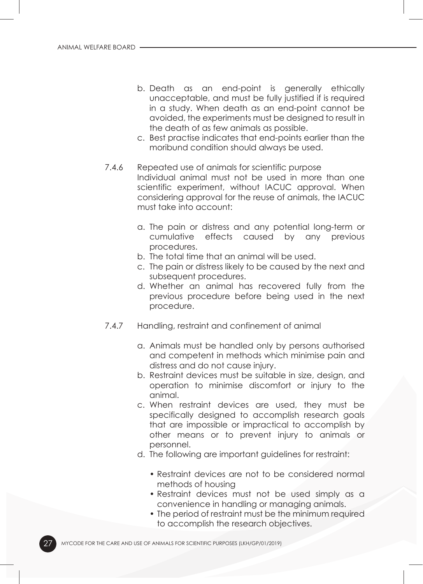- b. Death as an end-point is generally ethically unacceptable, and must be fully justified if is required in a study. When death as an end-point cannot be avoided, the experiments must be designed to result in the death of as few animals as possible.
- c. Best practise indicates that end-points earlier than the moribund condition should always be used.

# 7.4.6 Repeated use of animals for scientific purpose Individual animal must not be used in more than one scientific experiment, without IACUC approval. When considering approval for the reuse of animals, the IACUC must take into account:

- a. The pain or distress and any potential long-term or cumulative effects caused by any previous procedures.
- b. The total time that an animal will be used.
- c. The pain or distress likely to be caused by the next and subsequent procedures.
- d. Whether an animal has recovered fully from the previous procedure before being used in the next procedure.
- 7.4.7 Handling, restraint and confinement of animal
	- a. Animals must be handled only by persons authorised and competent in methods which minimise pain and distress and do not cause injury.
	- b. Restraint devices must be suitable in size, design, and operation to minimise discomfort or injury to the animal.
	- c. When restraint devices are used, they must be specifically designed to accomplish research goals that are impossible or impractical to accomplish by other means or to prevent injury to animals or personnel.
	- d. The following are important guidelines for restraint:
		- Restraint devices are not to be considered normal methods of housing
		- Restraint devices must not be used simply as a convenience in handling or managing animals.
		- The period of restraint must be the minimum required to accomplish the research objectives.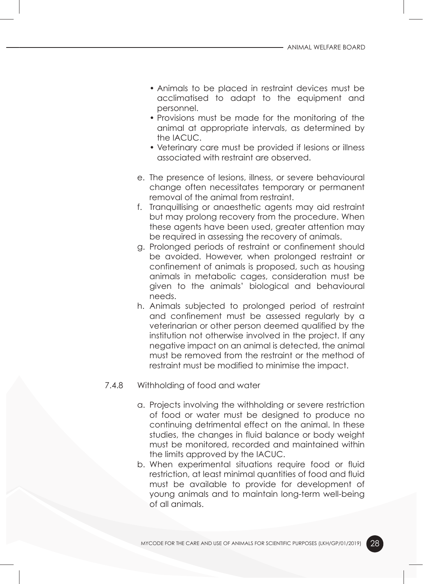- Animals to be placed in restraint devices must be acclimatised to adapt to the equipment and personnel.
- Provisions must be made for the monitoring of the animal at appropriate intervals, as determined by the IACUC.
- Veterinary care must be provided if lesions or illness associated with restraint are observed.
- e. The presence of lesions, illness, or severe behavioural change often necessitates temporary or permanent removal of the animal from restraint.
- f. Tranquillising or anaesthetic agents may aid restraint but may prolong recovery from the procedure. When these agents have been used, greater attention may be required in assessing the recovery of animals.
- g. Prolonged periods of restraint or confinement should be avoided. However, when prolonged restraint or confinement of animals is proposed, such as housing animals in metabolic cages, consideration must be given to the animals' biological and behavioural needs.
- h. Animals subjected to prolonged period of restraint and confinement must be assessed regularly by a veterinarian or other person deemed qualified by the institution not otherwise involved in the project. If any negative impact on an animal is detected, the animal must be removed from the restraint or the method of restraint must be modified to minimise the impact.

# 7.4.8 Withholding of food and water

- a. Projects involving the withholding or severe restriction of food or water must be designed to produce no continuing detrimental effect on the animal. In these studies, the changes in fluid balance or body weight must be monitored, recorded and maintained within the limits approved by the IACUC.
- b. When experimental situations require food or fluid restriction, at least minimal quantities of food and fluid must be available to provide for development of young animals and to maintain long-term well-being of all animals.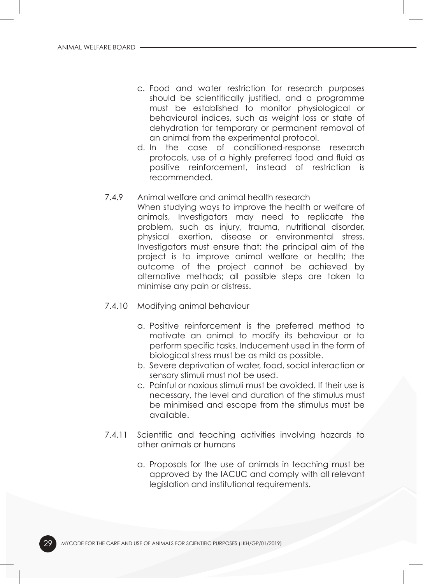- c. Food and water restriction for research purposes should be scientifically justified, and a programme must be established to monitor physiological or behavioural indices, such as weight loss or state of dehydration for temporary or permanent removal of an animal from the experimental protocol.
- d. In the case of conditioned-response research protocols, use of a highly preferred food and fluid as positive reinforcement, instead of restriction is recommended.
- 7.4.9 Animal welfare and animal health research

 When studying ways to improve the health or welfare of animals, Investigators may need to replicate the problem, such as injury, trauma, nutritional disorder, physical exertion, disease or environmental stress. Investigators must ensure that: the principal aim of the project is to improve animal welfare or health; the outcome of the project cannot be achieved by alternative methods; all possible steps are taken to minimise any pain or distress.

- 7.4.10 Modifying animal behaviour
	- a. Positive reinforcement is the preferred method to motivate an animal to modify its behaviour or to perform specific tasks. Inducement used in the form of biological stress must be as mild as possible.
	- b. Severe deprivation of water, food, social interaction or sensory stimuli must not be used.
	- c. Painful or noxious stimuli must be avoided. If their use is necessary, the level and duration of the stimulus must be minimised and escape from the stimulus must be available.
- 7.4.11 Scientific and teaching activities involving hazards to other animals or humans
	- a. Proposals for the use of animals in teaching must be approved by the IACUC and comply with all relevant legislation and institutional requirements.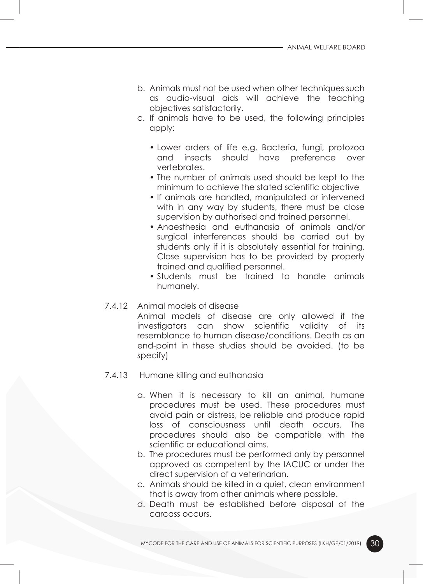- b. Animals must not be used when other techniques such as audio-visual aids will achieve the teaching objectives satisfactorily.
- c. If animals have to be used, the following principles apply:
	- Lower orders of life e.g. Bacteria, fungi, protozoa and insects should have preference over vertebrates.
	- The number of animals used should be kept to the minimum to achieve the stated scientific objective
	- If animals are handled, manipulated or intervened with in any way by students, there must be close supervision by authorised and trained personnel.
	- Anaesthesia and euthanasia of animals and/or surgical interferences should be carried out by students only if it is absolutely essential for training. Close supervision has to be provided by properly trained and qualified personnel.
	- Students must be trained to handle animals humanely.

# 7.4.12 Animal models of disease

 Animal models of disease are only allowed if the investigators can show scientific validity of its resemblance to human disease/conditions. Death as an end-point in these studies should be avoided. (to be specify)

- 7.4.13 Humane killing and euthanasia
	- a. When it is necessary to kill an animal, humane procedures must be used. These procedures must avoid pain or distress, be reliable and produce rapid loss of consciousness until death occurs. The procedures should also be compatible with the scientific or educational aims.
	- b. The procedures must be performed only by personnel approved as competent by the IACUC or under the direct supervision of a veterinarian.
	- c. Animals should be killed in a quiet, clean environment that is away from other animals where possible.
	- d. Death must be established before disposal of the carcass occurs.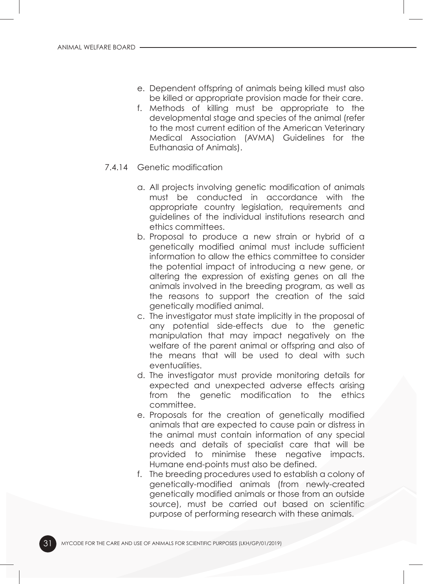- e. Dependent offspring of animals being killed must also be killed or appropriate provision made for their care.
- f. Methods of killing must be appropriate to the developmental stage and species of the animal (refer to the most current edition of the American Veterinary Medical Association (AVMA) Guidelines for the Euthanasia of Animals).
- 7.4.14 Genetic modification
	- a. All projects involving genetic modification of animals must be conducted in accordance with the appropriate country legislation, requirements and guidelines of the individual institutions research and ethics committees.
	- b. Proposal to produce a new strain or hybrid of a genetically modified animal must include sufficient information to allow the ethics committee to consider the potential impact of introducing a new gene, or altering the expression of existing genes on all the animals involved in the breeding program, as well as the reasons to support the creation of the said genetically modified animal.
	- c. The investigator must state implicitly in the proposal of any potential side-effects due to the genetic manipulation that may impact negatively on the welfare of the parent animal or offspring and also of the means that will be used to deal with such eventualities.
	- d. The investigator must provide monitoring details for expected and unexpected adverse effects arising from the genetic modification to the ethics committee.
	- e. Proposals for the creation of genetically modified animals that are expected to cause pain or distress in the animal must contain information of any special needs and details of specialist care that will be provided to minimise these negative impacts. Humane end-points must also be defined.
	- f. The breeding procedures used to establish a colony of genetically-modified animals (from newly-created genetically modified animals or those from an outside source), must be carried out based on scientific purpose of performing research with these animals.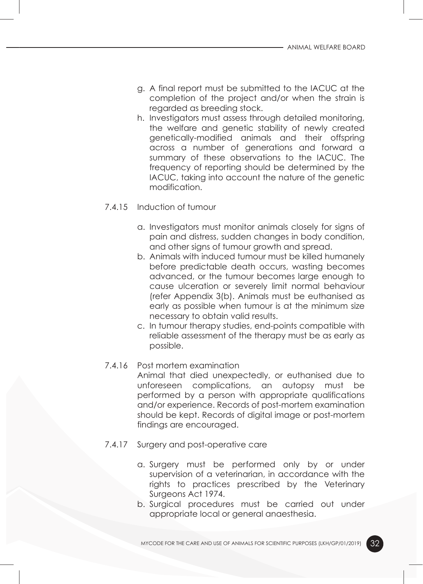- g. A final report must be submitted to the IACUC at the completion of the project and/or when the strain is regarded as breeding stock.
- h. Investigators must assess through detailed monitoring, the welfare and genetic stability of newly created genetically-modified animals and their offspring across a number of generations and forward a summary of these observations to the IACUC. The frequency of reporting should be determined by the IACUC, taking into account the nature of the genetic modification.

### 7.4.15 Induction of tumour

- a. Investigators must monitor animals closely for signs of pain and distress, sudden changes in body condition, and other signs of tumour growth and spread.
- b. Animals with induced tumour must be killed humanely before predictable death occurs, wasting becomes advanced, or the tumour becomes large enough to cause ulceration or severely limit normal behaviour (refer Appendix 3(b). Animals must be euthanised as early as possible when tumour is at the minimum size necessary to obtain valid results.
- c. In tumour therapy studies, end-points compatible with reliable assessment of the therapy must be as early as possible.

# 7.4.16 Post mortem examination

 Animal that died unexpectedly, or euthanised due to unforeseen complications, an autopsy must be performed by a person with appropriate qualifications and/or experience. Records of post-mortem examination should be kept. Records of digital image or post-mortem findings are encouraged.

- 7.4.17 Surgery and post-operative care
	- a. Surgery must be performed only by or under supervision of a veterinarian, in accordance with the rights to practices prescribed by the Veterinary Surgeons Act 1974.
	- b. Surgical procedures must be carried out under appropriate local or general anaesthesia.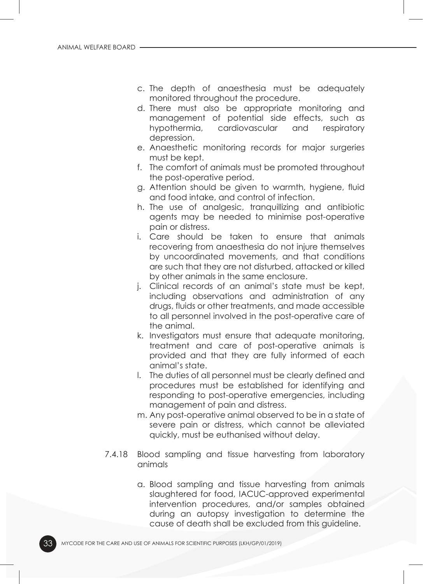- c. The depth of anaesthesia must be adequately monitored throughout the procedure.
- d. There must also be appropriate monitoring and management of potential side effects, such as hypothermia, cardiovascular and respiratory depression.
- e. Anaesthetic monitoring records for major surgeries must be kept.
- f. The comfort of animals must be promoted throughout the post-operative period.
- g. Attention should be given to warmth, hygiene, fluid and food intake, and control of infection.
- h. The use of analgesic, tranquillizing and antibiotic agents may be needed to minimise post-operative pain or distress.
- i. Care should be taken to ensure that animals recovering from anaesthesia do not injure themselves by uncoordinated movements, and that conditions are such that they are not disturbed, attacked or killed by other animals in the same enclosure.
- j. Clinical records of an animal's state must be kept, including observations and administration of any drugs, fluids or other treatments, and made accessible to all personnel involved in the post-operative care of the animal.
- k. Investigators must ensure that adequate monitoring, treatment and care of post-operative animals is provided and that they are fully informed of each animal's state.
- l. The duties of all personnel must be clearly defined and procedures must be established for identifying and responding to post-operative emergencies, including management of pain and distress.
- m. Any post-operative animal observed to be in a state of severe pain or distress, which cannot be alleviated quickly, must be euthanised without delay.
- 7.4.18 Blood sampling and tissue harvesting from laboratory animals
	- a. Blood sampling and tissue harvesting from animals slaughtered for food, IACUC-approved experimental intervention procedures, and/or samples obtained during an autopsy investigation to determine the cause of death shall be excluded from this guideline.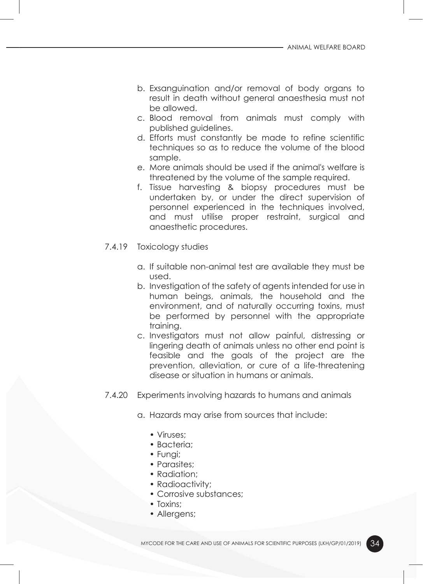- b. Exsanguination and/or removal of body organs to result in death without general anaesthesia must not be allowed.
- c. Blood removal from animals must comply with published guidelines.
- d. Efforts must constantly be made to refine scientific techniques so as to reduce the volume of the blood sample.
- e. More animals should be used if the animal's welfare is threatened by the volume of the sample required.
- f. Tissue harvesting & biopsy procedures must be undertaken by, or under the direct supervision of personnel experienced in the techniques involved, and must utilise proper restraint, surgical and anaesthetic procedures.
- 7.4.19 Toxicology studies
	- a. If suitable non-animal test are available they must be used.
	- b. Investigation of the safety of agents intended for use in human beings, animals, the household and the environment, and of naturally occurring toxins, must be performed by personnel with the appropriate training.
	- c. Investigators must not allow painful, distressing or lingering death of animals unless no other end point is feasible and the goals of the project are the prevention, alleviation, or cure of a life-threatening disease or situation in humans or animals.
- 7.4.20 Experiments involving hazards to humans and animals
	- a. Hazards may arise from sources that include:
		- Viruses;
		- Bacteria;
		- Fungi;
		- Parasites;
		- Radiation;
		- Radioactivity;
		- Corrosive substances;
		- Toxins;
		- Allergens: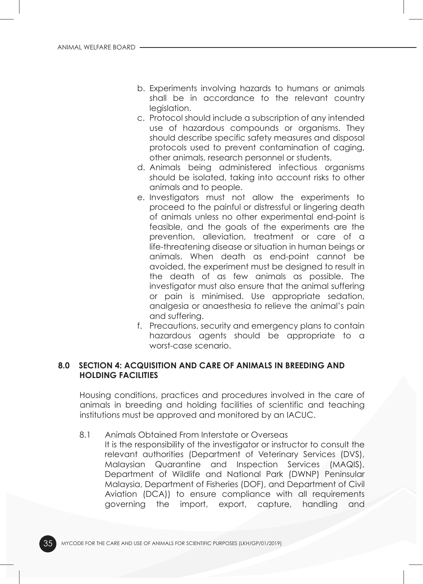- b. Experiments involving hazards to humans or animals shall be in accordance to the relevant country legislation.
- c. Protocol should include a subscription of any intended use of hazardous compounds or organisms. They should describe specific safety measures and disposal protocols used to prevent contamination of caging, other animals, research personnel or students.
- d. Animals being administered infectious organisms should be isolated, taking into account risks to other animals and to people.
- e. Investigators must not allow the experiments to proceed to the painful or distressful or lingering death of animals unless no other experimental end-point is feasible, and the goals of the experiments are the prevention, alleviation, treatment or care of a life-threatening disease or situation in human beings or animals. When death as end-point cannot be avoided, the experiment must be designed to result in the death of as few animals as possible. The investigator must also ensure that the animal suffering or pain is minimised. Use appropriate sedation, analgesia or anaesthesia to relieve the animal's pain and suffering.
- f. Precautions, security and emergency plans to contain hazardous agents should be appropriate to a worst-case scenario.

# **8.0 SECTION 4: ACQUISITION AND CARE OF ANIMALS IN BREEDING AND HOLDING FACILITIES**

Housing conditions, practices and procedures involved in the care of animals in breeding and holding facilities of scientific and teaching institutions must be approved and monitored by an IACUC.

8.1 Animals Obtained From Interstate or Overseas

 It is the responsibility of the investigator or instructor to consult the relevant authorities (Department of Veterinary Services (DVS), Malaysian Quarantine and Inspection Services (MAQIS), Department of Wildlife and National Park (DWNP) Peninsular Malaysia, Department of Fisheries (DOF), and Department of Civil Aviation (DCA)) to ensure compliance with all requirements governing the import, export, capture, handling and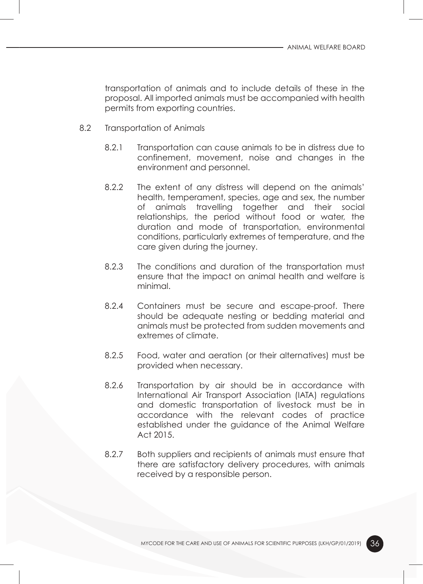transportation of animals and to include details of these in the proposal. All imported animals must be accompanied with health permits from exporting countries.

- 8.2 Transportation of Animals
	- 8.2.1 Transportation can cause animals to be in distress due to confinement, movement, noise and changes in the environment and personnel.
	- 8.2.2 The extent of any distress will depend on the animals' health, temperament, species, age and sex, the number of animals travelling together and their social relationships, the period without food or water, the duration and mode of transportation, environmental conditions, particularly extremes of temperature, and the care given during the journey.
	- 8.2.3 The conditions and duration of the transportation must ensure that the impact on animal health and welfare is minimal.
	- 8.2.4 Containers must be secure and escape-proof. There should be adequate nesting or bedding material and animals must be protected from sudden movements and extremes of climate.
	- 8.2.5 Food, water and aeration (or their alternatives) must be provided when necessary.
	- 8.2.6 Transportation by air should be in accordance with International Air Transport Association (IATA) regulations and domestic transportation of livestock must be in accordance with the relevant codes of practice established under the guidance of the Animal Welfare Act 2015.
	- 8.2.7 Both suppliers and recipients of animals must ensure that there are satisfactory delivery procedures, with animals received by a responsible person.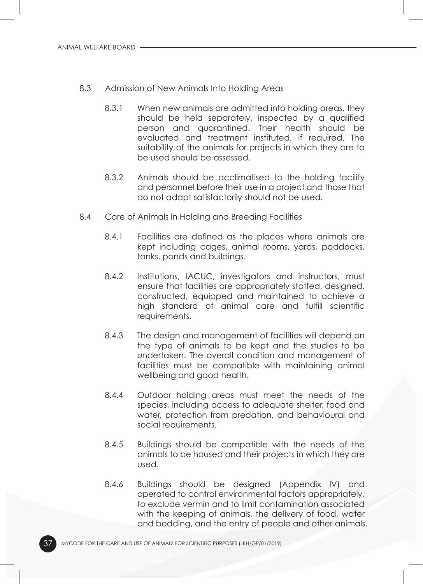- 8.3 Admission of New Animals Into Holding Areas
	- 8.3.1 When new animals are admitted into holding areas, they should be held separately, inspected by a qualified person and quarantined. Their health should be evaluated and treatment instituted, if required. The suitability of the animals for projects in which they are to be used should be assessed.
	- 8.3.2 Animals should be acclimatised to the holding facility and personnel before their use in a project and those that do not adapt satisfactorily should not be used.
- 8.4 Care of Animals in Holding and Breeding Facilities
	- 8.4.1 Facilities are defined as the places where animals are kept including cages, animal rooms, yards, paddocks, tanks, ponds and buildings.
	- 8.4.2 Institutions, IACUC, investigators and instructors, must ensure that facilities are appropriately staffed, designed, constructed, equipped and maintained to achieve a high standard of animal care and fulfill scientific requirements.
	- 8.4.3 The design and management of facilities will depend on the type of animals to be kept and the studies to be undertaken. The overall condition and management of facilities must be compatible with maintaining animal wellbeing and good health.
	- 8.4.4 Outdoor holding areas must meet the needs of the species, including access to adequate shelter, food and water, protection from predation, and behavioural and social requirements.
	- 8.4.5 Buildings should be compatible with the needs of the animals to be housed and their projects in which they are used.
	- 8.4.6 Buildings should be designed (Appendix IV) and operated to control environmental factors appropriately, to exclude vermin and to limit contamination associated with the keeping of animals, the delivery of food, water and bedding, and the entry of people and other animals.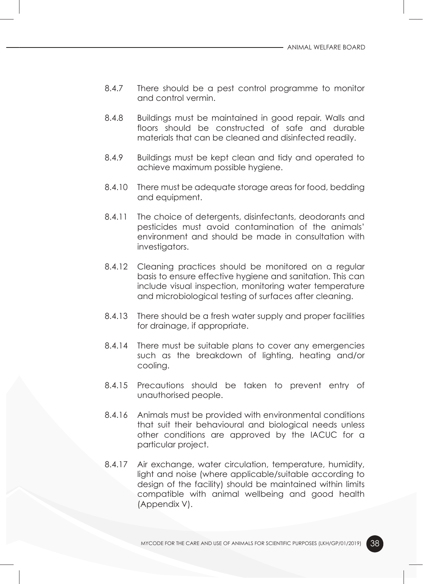- 8.4.7 There should be a pest control programme to monitor and control vermin.
- 8.4.8 Buildings must be maintained in good repair. Walls and floors should be constructed of safe and durable materials that can be cleaned and disinfected readily.
- 8.4.9 Buildings must be kept clean and tidy and operated to achieve maximum possible hygiene.
- 8.4.10 There must be adequate storage areas for food, bedding and equipment.
- 8.4.11 The choice of detergents, disinfectants, deodorants and pesticides must avoid contamination of the animals' environment and should be made in consultation with investigators.
- 8.4.12 Cleaning practices should be monitored on a regular basis to ensure effective hygiene and sanitation. This can include visual inspection, monitoring water temperature and microbiological testing of surfaces after cleaning.
- 8.4.13 There should be a fresh water supply and proper facilities for drainage, if appropriate.
- 8.4.14 There must be suitable plans to cover any emergencies such as the breakdown of lighting, heating and/or cooling.
- 8.4.15 Precautions should be taken to prevent entry of unauthorised people.
- 8.4.16 Animals must be provided with environmental conditions that suit their behavioural and biological needs unless other conditions are approved by the IACUC for a particular project.
- 8.4.17 Air exchange, water circulation, temperature, humidity, light and noise (where applicable/suitable according to design of the facility) should be maintained within limits compatible with animal wellbeing and good health (Appendix V).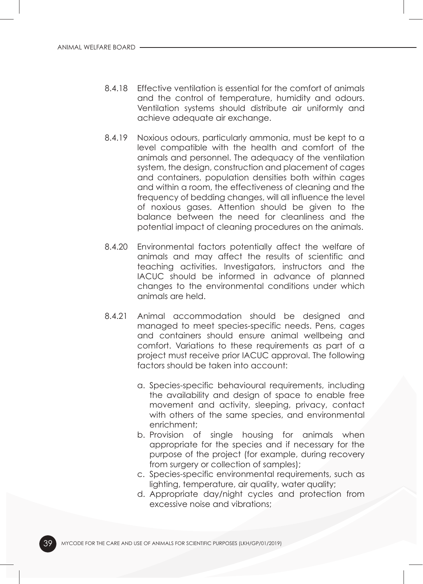- 8.4.18 Effective ventilation is essential for the comfort of animals and the control of temperature, humidity and odours. Ventilation systems should distribute air uniformly and achieve adequate air exchange.
- 8.4.19 Noxious odours, particularly ammonia, must be kept to a level compatible with the health and comfort of the animals and personnel. The adequacy of the ventilation system, the design, construction and placement of cages and containers, population densities both within cages and within a room, the effectiveness of cleaning and the frequency of bedding changes, will all influence the level of noxious gases. Attention should be given to the balance between the need for cleanliness and the potential impact of cleaning procedures on the animals.
- 8.4.20 Environmental factors potentially affect the welfare of animals and may affect the results of scientific and teaching activities. Investigators, instructors and the IACUC should be informed in advance of planned changes to the environmental conditions under which animals are held.
- 8.4.21 Animal accommodation should be designed and managed to meet species-specific needs. Pens, cages and containers should ensure animal wellbeing and comfort. Variations to these requirements as part of a project must receive prior IACUC approval. The following factors should be taken into account:
	- a. Species-specific behavioural requirements, including the availability and design of space to enable free movement and activity, sleeping, privacy, contact with others of the same species, and environmental enrichment;
	- b. Provision of single housing for animals when appropriate for the species and if necessary for the purpose of the project (for example, during recovery from surgery or collection of samples);
	- c. Species-specific environmental requirements, such as lighting, temperature, air quality, water quality;
	- d. Appropriate day/night cycles and protection from excessive noise and vibrations;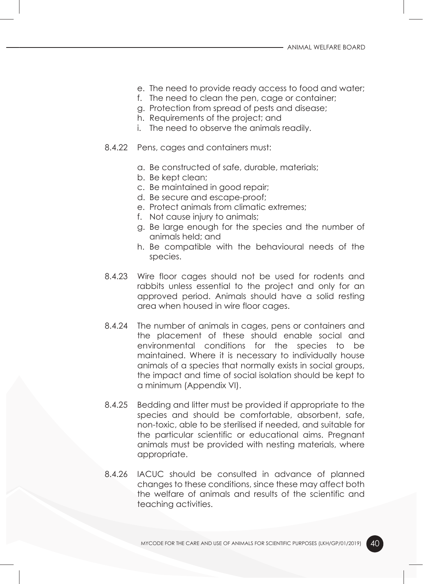- e. The need to provide ready access to food and water;
- f. The need to clean the pen, cage or container;
- g. Protection from spread of pests and disease;
- h. Requirements of the project; and
- i. The need to observe the animals readily.
- 8.4.22 Pens, cages and containers must:
	- a. Be constructed of safe, durable, materials;
	- b. Be kept clean;
	- c. Be maintained in good repair;
	- d. Be secure and escape-proof;
	- e. Protect animals from climatic extremes;
	- f. Not cause injury to animals;
	- g. Be large enough for the species and the number of animals held; and
	- h. Be compatible with the behavioural needs of the species.
- 8.4.23 Wire floor cages should not be used for rodents and rabbits unless essential to the project and only for an approved period. Animals should have a solid resting area when housed in wire floor cages.
- 8.4.24 The number of animals in cages, pens or containers and the placement of these should enable social and environmental conditions for the species to be maintained. Where it is necessary to individually house animals of a species that normally exists in social groups, the impact and time of social isolation should be kept to a minimum (Appendix VI).
- 8.4.25 Bedding and litter must be provided if appropriate to the species and should be comfortable, absorbent, safe, non-toxic, able to be sterilised if needed, and suitable for the particular scientific or educational aims. Pregnant animals must be provided with nesting materials, where appropriate.
- 8.4.26 IACUC should be consulted in advance of planned changes to these conditions, since these may affect both the welfare of animals and results of the scientific and teaching activities.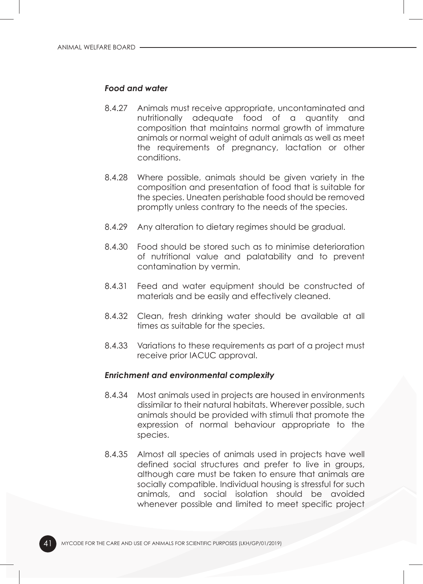#### *Food and water*

- 8.4.27 Animals must receive appropriate, uncontaminated and nutritionally adequate food of a quantity and composition that maintains normal growth of immature animals or normal weight of adult animals as well as meet the requirements of pregnancy, lactation or other conditions.
- 8.4.28 Where possible, animals should be given variety in the composition and presentation of food that is suitable for the species. Uneaten perishable food should be removed promptly unless contrary to the needs of the species.
- 8.4.29 Any alteration to dietary regimes should be gradual.
- 8.4.30 Food should be stored such as to minimise deterioration of nutritional value and palatability and to prevent contamination by vermin.
- 8.4.31 Feed and water equipment should be constructed of materials and be easily and effectively cleaned.
- 8.4.32 Clean, fresh drinking water should be available at all times as suitable for the species.
- 8.4.33 Variations to these requirements as part of a project must receive prior IACUC approval.

#### *Enrichment and environmental complexity*

- 8.4.34 Most animals used in projects are housed in environments dissimilar to their natural habitats. Wherever possible, such animals should be provided with stimuli that promote the expression of normal behaviour appropriate to the species.
- 8.4.35 Almost all species of animals used in projects have well defined social structures and prefer to live in groups, although care must be taken to ensure that animals are socially compatible. Individual housing is stressful for such animals, and social isolation should be avoided whenever possible and limited to meet specific project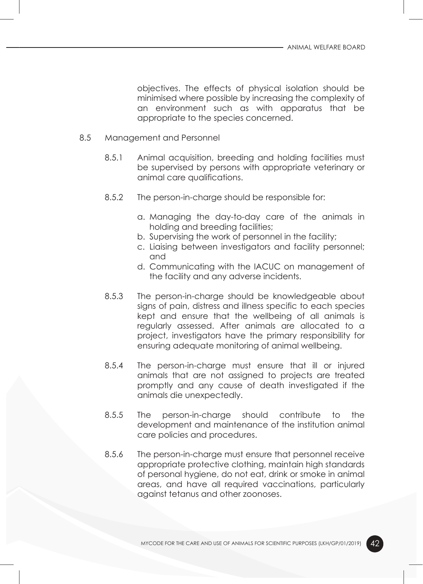objectives. The effects of physical isolation should be minimised where possible by increasing the complexity of an environment such as with apparatus that be appropriate to the species concerned.

- 8.5 Management and Personnel
	- 8.5.1 Animal acquisition, breeding and holding facilities must be supervised by persons with appropriate veterinary or animal care qualifications.
	- 8.5.2 The person-in-charge should be responsible for:
		- a. Managing the day-to-day care of the animals in holding and breeding facilities;
		- b. Supervising the work of personnel in the facility;
		- c. Liaising between investigators and facility personnel; and
		- d. Communicating with the IACUC on management of the facility and any adverse incidents.
	- 8.5.3 The person-in-charge should be knowledgeable about signs of pain, distress and illness specific to each species kept and ensure that the wellbeing of all animals is regularly assessed. After animals are allocated to a project, investigators have the primary responsibility for ensuring adequate monitoring of animal wellbeing.
	- 8.5.4 The person-in-charge must ensure that ill or injured animals that are not assigned to projects are treated promptly and any cause of death investigated if the animals die unexpectedly.
	- 8.5.5 The person-in-charge should contribute to the development and maintenance of the institution animal care policies and procedures.
	- 8.5.6 The person-in-charge must ensure that personnel receive appropriate protective clothing, maintain high standards of personal hygiene, do not eat, drink or smoke in animal areas, and have all required vaccinations, particularly against tetanus and other zoonoses.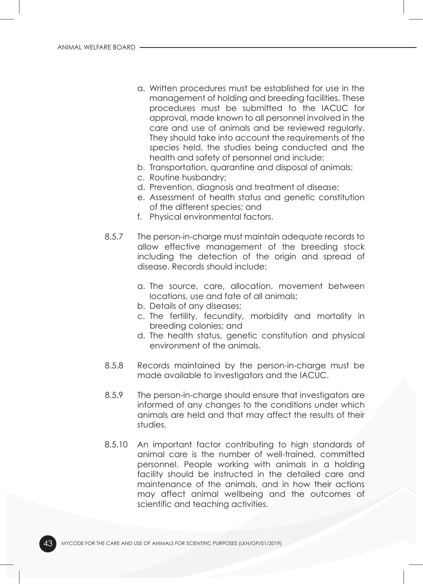- a. Written procedures must be established for use in the management of holding and breeding facilities. These procedures must be submitted to the IACUC for approval, made known to all personnel involved in the care and use of animals and be reviewed regularly. They should take into account the requirements of the species held, the studies being conducted and the health and safety of personnel and include:
- b. Transportation, quarantine and disposal of animals;
- c. Routine husbandry;
- d. Prevention, diagnosis and treatment of disease;
- e. Assessment of health status and genetic constitution of the different species; and
- f. Physical environmental factors.
- 8.5.7 The person-in-charge must maintain adequate records to allow effective management of the breeding stock including the detection of the origin and spread of disease. Records should include:
	- a. The source, care, allocation, movement between locations, use and fate of all animals;
	- b. Details of any diseases;
	- c. The fertility, fecundity, morbidity and mortality in breeding colonies; and
	- d. The health status, genetic constitution and physical environment of the animals.
- 8.5.8 Records maintained by the person-in-charge must be made available to investigators and the IACUC.
- 8.5.9 The person-in-charge should ensure that investigators are informed of any changes to the conditions under which animals are held and that may affect the results of their studies.
- 8.5.10 An important factor contributing to high standards of animal care is the number of well-trained, committed personnel. People working with animals in a holding facility should be instructed in the detailed care and maintenance of the animals, and in how their actions may affect animal wellbeing and the outcomes of scientific and teaching activities.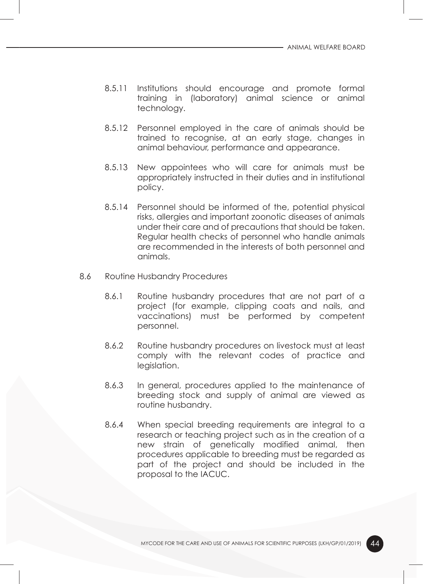- 8.5.11 Institutions should encourage and promote formal training in (laboratory) animal science or animal technology.
- 8.5.12 Personnel employed in the care of animals should be trained to recognise, at an early stage, changes in animal behaviour, performance and appearance.
- 8.5.13 New appointees who will care for animals must be appropriately instructed in their duties and in institutional policy.
- 8.5.14 Personnel should be informed of the, potential physical risks, allergies and important zoonotic diseases of animals under their care and of precautions that should be taken. Regular health checks of personnel who handle animals are recommended in the interests of both personnel and animals.
- 8.6 Routine Husbandry Procedures
	- 8.6.1 Routine husbandry procedures that are not part of a project (for example, clipping coats and nails, and vaccinations) must be performed by competent personnel.
	- 8.6.2 Routine husbandry procedures on livestock must at least comply with the relevant codes of practice and legislation.
	- 8.6.3 In general, procedures applied to the maintenance of breeding stock and supply of animal are viewed as routine husbandry.
	- 8.6.4 When special breeding requirements are integral to a research or teaching project such as in the creation of a new strain of genetically modified animal, then procedures applicable to breeding must be regarded as part of the project and should be included in the proposal to the IACUC.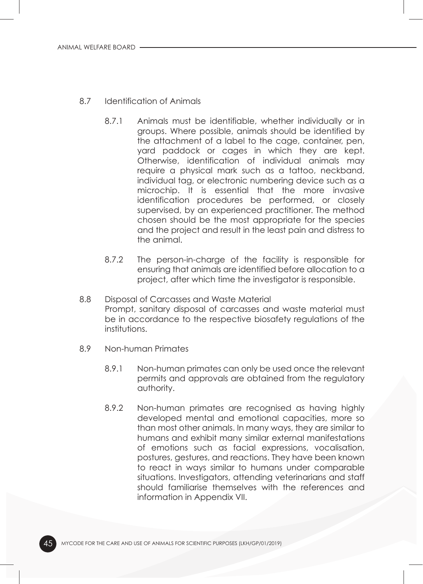- 8.7 Identification of Animals
	- 8.7.1 Animals must be identifiable, whether individually or in groups. Where possible, animals should be identified by the attachment of a label to the cage, container, pen, yard paddock or cages in which they are kept. Otherwise, identification of individual animals may require a physical mark such as a tattoo, neckband, individual tag, or electronic numbering device such as a microchip. It is essential that the more invasive identification procedures be performed, or closely supervised, by an experienced practitioner. The method chosen should be the most appropriate for the species and the project and result in the least pain and distress to the animal.
	- 8.7.2 The person-in-charge of the facility is responsible for ensuring that animals are identified before allocation to a project, after which time the investigator is responsible.
- 8.8 Disposal of Carcasses and Waste Material Prompt, sanitary disposal of carcasses and waste material must be in accordance to the respective biosafety regulations of the institutions.
- 8.9 Non-human Primates
	- 8.9.1 Non-human primates can only be used once the relevant permits and approvals are obtained from the regulatory authority.
	- 8.9.2 Non-human primates are recognised as having highly developed mental and emotional capacities, more so than most other animals. In many ways, they are similar to humans and exhibit many similar external manifestations of emotions such as facial expressions, vocalisation, postures, gestures, and reactions. They have been known to react in ways similar to humans under comparable situations. Investigators, attending veterinarians and staff should familiarise themselves with the references and information in Appendix VII.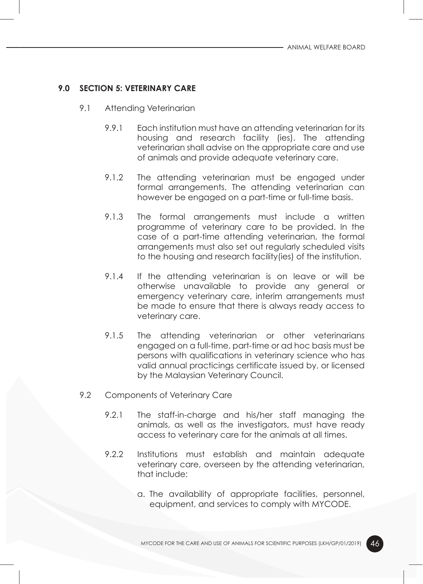# **9.0 SECTION 5: VETERINARY CARE**

- 9.1 Attending Veterinarian
	- 9.9.1 Each institution must have an attending veterinarian for its housing and research facility (ies). The attending veterinarian shall advise on the appropriate care and use of animals and provide adequate veterinary care.
	- 9.1.2 The attending veterinarian must be engaged under formal arrangements. The attending veterinarian can however be engaged on a part-time or full-time basis.
	- 9.1.3 The formal arrangements must include a written programme of veterinary care to be provided. In the case of a part-time attending veterinarian, the formal arrangements must also set out regularly scheduled visits to the housing and research facility(ies) of the institution.
	- 9.1.4 If the attending veterinarian is on leave or will be otherwise unavailable to provide any general or emergency veterinary care, interim arrangements must be made to ensure that there is always ready access to veterinary care.
	- 9.1.5 The attending veterinarian or other veterinarians engaged on a full-time, part-time or ad hoc basis must be persons with qualifications in veterinary science who has valid annual practicings certificate issued by, or licensed by the Malaysian Veterinary Council.
- 9.2 Components of Veterinary Care
	- 9.2.1 The staff-in-charge and his/her staff managing the animals, as well as the investigators, must have ready access to veterinary care for the animals at all times.
	- 9.2.2 Institutions must establish and maintain adequate veterinary care, overseen by the attending veterinarian, that include:
		- a. The availability of appropriate facilities, personnel, equipment, and services to comply with MYCODE.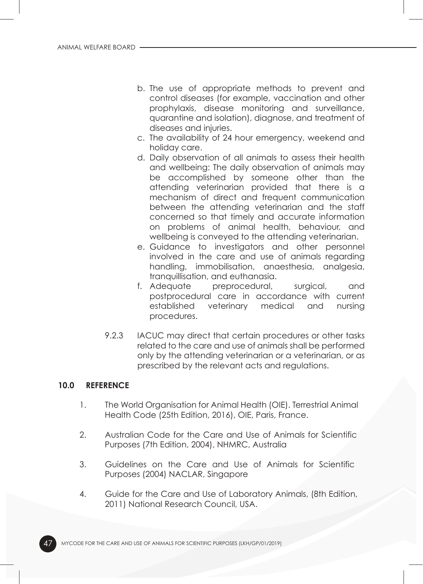- b. The use of appropriate methods to prevent and control diseases (for example, vaccination and other prophylaxis, disease monitoring and surveillance, quarantine and isolation), diagnose, and treatment of diseases and injuries.
- c. The availability of 24 hour emergency, weekend and holiday care.
- d. Daily observation of all animals to assess their health and wellbeing: The daily observation of animals may be accomplished by someone other than the attending veterinarian provided that there is a mechanism of direct and frequent communication between the attending veterinarian and the staff concerned so that timely and accurate information on problems of animal health, behaviour, and wellbeing is conveyed to the attending veterinarian.
- e. Guidance to investigators and other personnel involved in the care and use of animals regarding handling, immobilisation, anaesthesia, analgesia, tranquillisation, and euthanasia.
- f. Adequate preprocedural, surgical, and postprocedural care in accordance with current established veterinary medical and nursing procedures.
- 9.2.3 IACUC may direct that certain procedures or other tasks related to the care and use of animals shall be performed only by the attending veterinarian or a veterinarian, or as prescribed by the relevant acts and regulations.

### **10.0 REFERENCE**

- 1. The World Organisation for Animal Health (OIE). Terrestrial Animal Health Code (25th Edition, 2016), OIE, Paris, France.
- 2. Australian Code for the Care and Use of Animals for Scientific Purposes (7th Edition, 2004), NHMRC, Australia
- 3. Guidelines on the Care and Use of Animals for Scientific Purposes (2004) NACLAR, Singapore
- 4. Guide for the Care and Use of Laboratory Animals, (8th Edition, 2011) National Research Council, USA.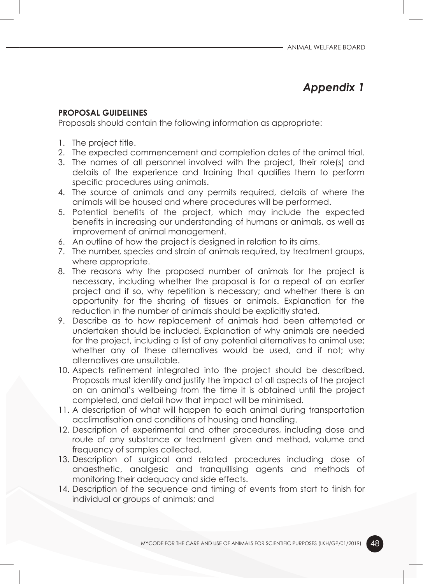# **PROPOSAL GUIDELINES**

Proposals should contain the following information as appropriate:

- 1. The project title.
- 2. The expected commencement and completion dates of the animal trial.
- 3. The names of all personnel involved with the project, their role(s) and details of the experience and training that qualifies them to perform specific procedures using animals.
- 4. The source of animals and any permits required, details of where the animals will be housed and where procedures will be performed.
- 5. Potential benefits of the project, which may include the expected benefits in increasing our understanding of humans or animals, as well as improvement of animal management.
- 6. An outline of how the project is designed in relation to its aims.
- 7. The number, species and strain of animals required, by treatment groups, where appropriate.
- 8. The reasons why the proposed number of animals for the project is necessary, including whether the proposal is for a repeat of an earlier project and if so, why repetition is necessary; and whether there is an opportunity for the sharing of tissues or animals. Explanation for the reduction in the number of animals should be explicitly stated.
- 9. Describe as to how replacement of animals had been attempted or undertaken should be included. Explanation of why animals are needed for the project, including a list of any potential alternatives to animal use; whether any of these alternatives would be used, and if not; why alternatives are unsuitable.
- 10. Aspects refinement integrated into the project should be described. Proposals must identify and justify the impact of all aspects of the project on an animal's wellbeing from the time it is obtained until the project completed, and detail how that impact will be minimised.
- 11. A description of what will happen to each animal during transportation acclimatisation and conditions of housing and handling.
- 12. Description of experimental and other procedures, including dose and route of any substance or treatment given and method, volume and frequency of samples collected.
- 13. Description of surgical and related procedures including dose of anaesthetic, analgesic and tranquillising agents and methods of monitoring their adequacy and side effects.
- 14. Description of the sequence and timing of events from start to finish for individual or groups of animals; and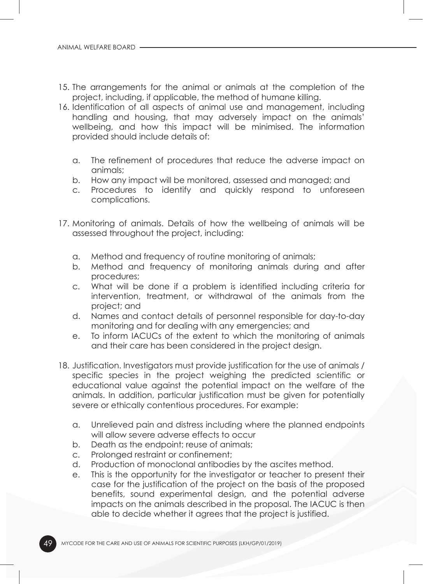- 15. The arrangements for the animal or animals at the completion of the project, including, if applicable, the method of humane killing.
- 16. Identification of all aspects of animal use and management, including handling and housing, that may adversely impact on the animals' wellbeing, and how this impact will be minimised. The information provided should include details of:
	- a. The refinement of procedures that reduce the adverse impact on animals;
	- b. How any impact will be monitored, assessed and managed; and
	- c. Procedures to identify and quickly respond to unforeseen complications.
- 17. Monitoring of animals. Details of how the wellbeing of animals will be assessed throughout the project, including:
	- a. Method and frequency of routine monitoring of animals;
	- b. Method and frequency of monitoring animals during and after procedures;
	- c. What will be done if a problem is identified including criteria for intervention, treatment, or withdrawal of the animals from the project; and
	- d. Names and contact details of personnel responsible for day-to-day monitoring and for dealing with any emergencies; and
	- e. To inform IACUCs of the extent to which the monitoring of animals and their care has been considered in the project design.
- 18. Justification. Investigators must provide justification for the use of animals / specific species in the project weighing the predicted scientific or educational value against the potential impact on the welfare of the animals. In addition, particular justification must be given for potentially severe or ethically contentious procedures. For example:
	- a. Unrelieved pain and distress including where the planned endpoints will allow severe adverse effects to occur
	- b. Death as the endpoint; reuse of animals;
	- c. Prolonged restraint or confinement;
	- d. Production of monoclonal antibodies by the ascites method.
	- e. This is the opportunity for the investigator or teacher to present their case for the justification of the project on the basis of the proposed benefits, sound experimental design, and the potential adverse impacts on the animals described in the proposal. The IACUC is then able to decide whether it agrees that the project is justified.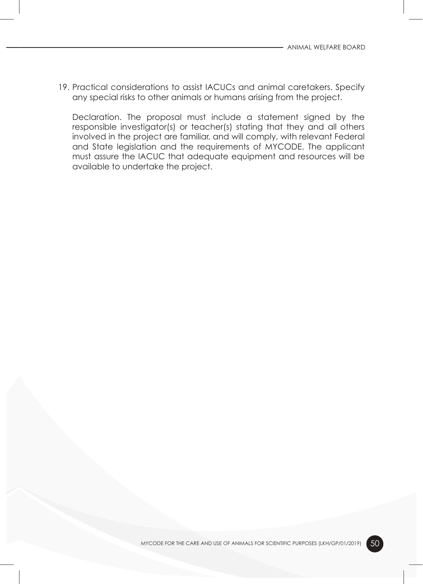19. Practical considerations to assist IACUCs and animal caretakers. Specify any special risks to other animals or humans arising from the project.

 Declaration. The proposal must include a statement signed by the responsible investigator(s) or teacher(s) stating that they and all others involved in the project are familiar, and will comply, with relevant Federal and State legislation and the requirements of MYCODE. The applicant must assure the IACUC that adequate equipment and resources will be available to undertake the project.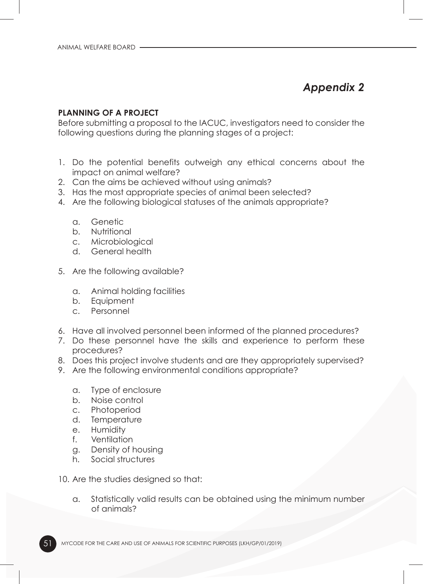# **PLANNING OF A PROJECT**

Before submitting a proposal to the IACUC, investigators need to consider the following questions during the planning stages of a project:

- 1. Do the potential benefits outweigh any ethical concerns about the impact on animal welfare?
- 2. Can the aims be achieved without using animals?
- 3. Has the most appropriate species of animal been selected?
- 4. Are the following biological statuses of the animals appropriate?
	- a. Genetic
	- b. Nutritional
	- c. Microbiological
	- d. General health
- 5. Are the following available?
	- a. Animal holding facilities
	- b. Equipment
	- c. Personnel
- 6. Have all involved personnel been informed of the planned procedures?
- 7. Do these personnel have the skills and experience to perform these procedures?
- 8. Does this project involve students and are they appropriately supervised?
- 9. Are the following environmental conditions appropriate?
	- a. Type of enclosure
	- b. Noise control
	- c. Photoperiod
	- d. Temperature
	- e. Humidity
	- f. Ventilation
	- g. Density of housing
	- h. Social structures
- 10. Are the studies designed so that:
	- a. Statistically valid results can be obtained using the minimum number of animals?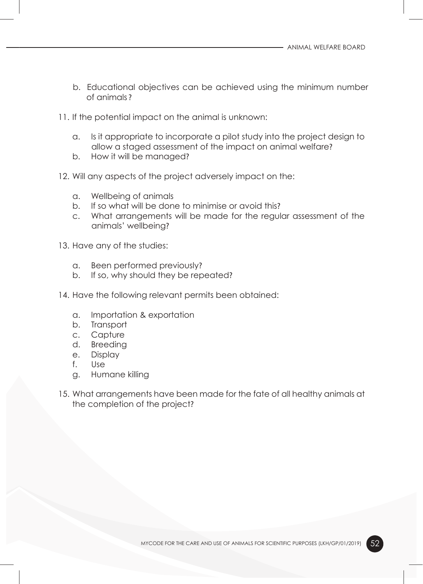- b. Educational objectives can be achieved using the minimum number of animals ?
- 11. If the potential impact on the animal is unknown:
	- a. Is it appropriate to incorporate a pilot study into the project design to allow a staged assessment of the impact on animal welfare?
	- b. How it will be managed?
- 12. Will any aspects of the project adversely impact on the:
	- a. Wellbeing of animals
	- b. If so what will be done to minimise or avoid this?
	- c. What arrangements will be made for the regular assessment of the animals' wellbeing?
- 13. Have any of the studies:
	- a. Been performed previously?
	- b. If so, why should they be repeated?
- 14. Have the following relevant permits been obtained:
	- a. Importation & exportation
	- b. Transport
	- c. Capture
	- d. Breeding
	- e. Display
	- f. Use
	- g. Humane killing
- 15. What arrangements have been made for the fate of all healthy animals at the completion of the project?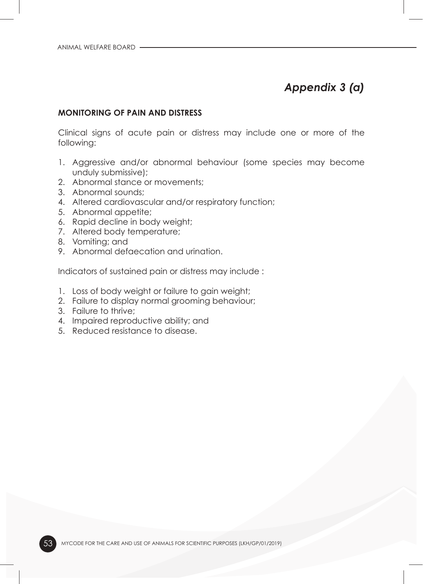# *Appendix 3 (a)*

#### **MONITORING OF PAIN AND DISTRESS**

Clinical signs of acute pain or distress may include one or more of the following:

- 1. Aggressive and/or abnormal behaviour (some species may become unduly submissive);
- 2. Abnormal stance or movements;
- 3. Abnormal sounds;
- 4. Altered cardiovascular and/or respiratory function;
- 5. Abnormal appetite;
- 6. Rapid decline in body weight;
- 7. Altered body temperature;
- 8. Vomiting; and
- 9. Abnormal defaecation and urination.

Indicators of sustained pain or distress may include :

- 1. Loss of body weight or failure to gain weight;
- 2. Failure to display normal grooming behaviour;
- 3. Failure to thrive;
- 4. Impaired reproductive ability; and
- 5. Reduced resistance to disease.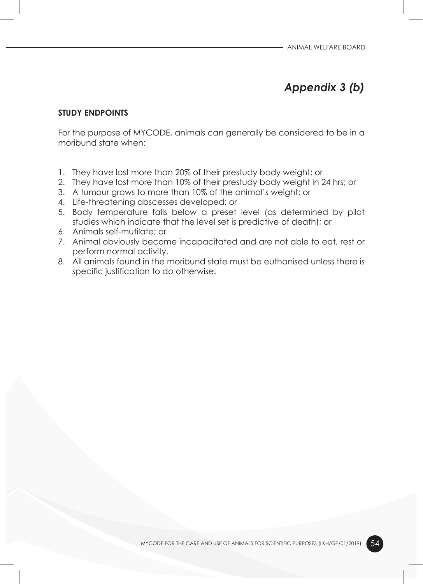# *Appendix 3 (b)*

#### **STUDY ENDPOINTS**

For the purpose of MYCODE, animals can generally be considered to be in a moribund state when:

- 1. They have lost more than 20% of their prestudy body weight; or
- 2. They have lost more than 10% of their prestudy body weight in 24 hrs; or
- 3. A tumour grows to more than 10% of the animal's weight; or
- 4. Life-threatening abscesses developed; or
- 5. Body temperature falls below a preset level (as determined by pilot studies which indicate that the level set is predictive of death); or
- 6. Animals self-mutilate; or
- 7. Animal obviously become incapacitated and are not able to eat, rest or perform normal activity.
- 8. All animals found in the moribund state must be euthanised unless there is specific justification to do otherwise.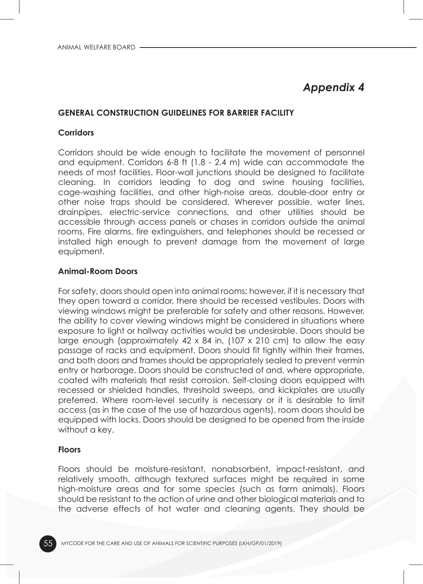# **GENERAL CONSTRUCTION GUIDELINES FOR BARRIER FACILITY**

### **Corridors**

Corridors should be wide enough to facilitate the movement of personnel and equipment. Corridors 6-8 ft (1.8 - 2.4 m) wide can accommodate the needs of most facilities. Floor-wall junctions should be designed to facilitate cleaning. In corridors leading to dog and swine housing facilities, cage-washing facilities, and other high-noise areas, double-door entry or other noise traps should be considered. Wherever possible, water lines, drainpipes, electric-service connections, and other utilities should be accessible through access panels or chases in corridors outside the animal rooms. Fire alarms, fire extinguishers, and telephones should be recessed or installed high enough to prevent damage from the movement of large equipment.

### **Animal-Room Doors**

For safety, doors should open into animal rooms; however, if it is necessary that they open toward a corridor, there should be recessed vestibules. Doors with viewing windows might be preferable for safety and other reasons. However, the ability to cover viewing windows might be considered in situations where exposure to light or hallway activities would be undesirable. Doors should be large enough (approximately  $42 \times 84$  in, (107  $\times$  210 cm) to allow the easy passage of racks and equipment. Doors should fit tightly within their frames, and both doors and frames should be appropriately sealed to prevent vermin entry or harborage. Doors should be constructed of and, where appropriate, coated with materials that resist corrosion. Self-closing doors equipped with recessed or shielded handles, threshold sweeps, and kickplates are usually preferred. Where room-level security is necessary or it is desirable to limit access (as in the case of the use of hazardous agents), room doors should be equipped with locks. Doors should be designed to be opened from the inside without a key.

# **Floors**

Floors should be moisture-resistant, nonabsorbent, impact-resistant, and relatively smooth, although textured surfaces might be required in some high-moisture areas and for some species (such as farm animals). Floors should be resistant to the action of urine and other biological materials and to the adverse effects of hot water and cleaning agents. They should be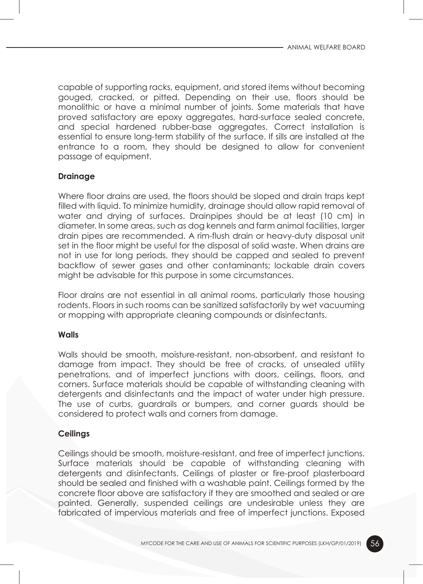capable of supporting racks, equipment, and stored items without becoming gouged, cracked, or pitted. Depending on their use, floors should be monolithic or have a minimal number of joints. Some materials that have proved satisfactory are epoxy aggregates, hard-surface sealed concrete, and special hardened rubber-base aggregates. Correct installation is essential to ensure long-term stability of the surface. If sills are installed at the entrance to a room, they should be designed to allow for convenient passage of equipment.

# **Drainage**

Where floor drains are used, the floors should be sloped and drain traps kept filled with liquid. To minimize humidity, drainage should allow rapid removal of water and drying of surfaces. Drainpipes should be at least (10 cm) in diameter. In some areas, such as dog kennels and farm animal facilities, larger drain pipes are recommended. A rim-flush drain or heavy-duty disposal unit set in the floor might be useful for the disposal of solid waste. When drains are not in use for long periods, they should be capped and sealed to prevent backflow of sewer gases and other contaminants; lockable drain covers might be advisable for this purpose in some circumstances.

Floor drains are not essential in all animal rooms, particularly those housing rodents. Floors in such rooms can be sanitized satisfactorily by wet vacuuming or mopping with appropriate cleaning compounds or disinfectants.

### **Walls**

Walls should be smooth, moisture-resistant, non-absorbent, and resistant to damage from impact. They should be free of cracks, of unsealed utility penetrations, and of imperfect junctions with doors, ceilings, floors, and corners. Surface materials should be capable of withstanding cleaning with detergents and disinfectants and the impact of water under high pressure. The use of curbs, guardrails or bumpers, and corner guards should be considered to protect walls and corners from damage.

### **Ceilings**

Ceilings should be smooth, moisture-resistant, and free of imperfect junctions. Surface materials should be capable of withstanding cleaning with detergents and disinfectants. Ceilings of plaster or fire-proof plasterboard should be sealed and finished with a washable paint. Ceilings formed by the concrete floor above are satisfactory if they are smoothed and sealed or are painted. Generally, suspended ceilings are undesirable unless they are fabricated of impervious materials and free of imperfect junctions. Exposed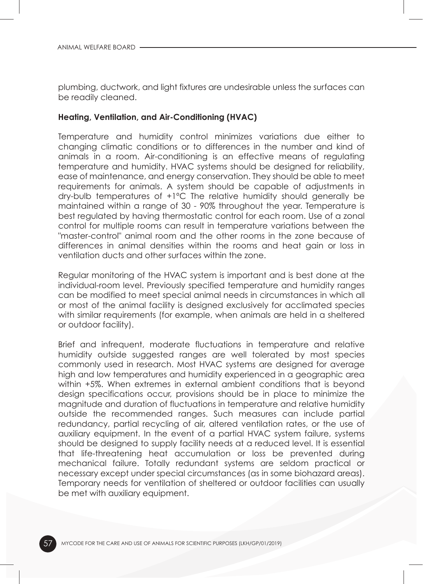plumbing, ductwork, and light fixtures are undesirable unless the surfaces can be readily cleaned.

### **Heating, Ventilation, and Air-Conditioning (HVAC)**

Temperature and humidity control minimizes variations due either to changing climatic conditions or to differences in the number and kind of animals in a room. Air-conditioning is an effective means of regulating temperature and humidity. HVAC systems should be designed for reliability, ease of maintenance, and energy conservation. They should be able to meet requirements for animals. A system should be capable of adjustments in dry-bulb temperatures of +1ºC The relative humidity should generally be maintained within a range of 30 - 90% throughout the year. Temperature is best regulated by having thermostatic control for each room. Use of a zonal control for multiple rooms can result in temperature variations between the "master-control" animal room and the other rooms in the zone because of differences in animal densities within the rooms and heat gain or loss in ventilation ducts and other surfaces within the zone.

Regular monitoring of the HVAC system is important and is best done at the individual-room level. Previously specified temperature and humidity ranges can be modified to meet special animal needs in circumstances in which all or most of the animal facility is designed exclusively for acclimated species with similar requirements (for example, when animals are held in a sheltered or outdoor facility).

Brief and infrequent, moderate fluctuations in temperature and relative humidity outside suggested ranges are well tolerated by most species commonly used in research. Most HVAC systems are designed for average high and low temperatures and humidity experienced in a geographic area within +5%. When extremes in external ambient conditions that is beyond design specifications occur, provisions should be in place to minimize the magnitude and duration of fluctuations in temperature and relative humidity outside the recommended ranges. Such measures can include partial redundancy, partial recycling of air, altered ventilation rates, or the use of auxiliary equipment. In the event of a partial HVAC system failure, systems should be designed to supply facility needs at a reduced level. It is essential that life-threatening heat accumulation or loss be prevented during mechanical failure. Totally redundant systems are seldom practical or necessary except under special circumstances (as in some biohazard areas). Temporary needs for ventilation of sheltered or outdoor facilities can usually be met with auxiliary equipment.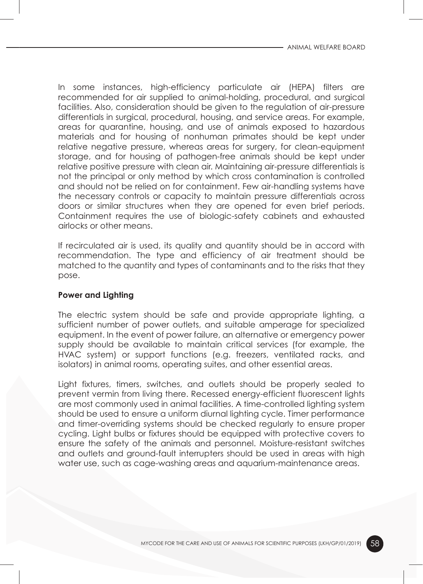In some instances, high-efficiency particulate air (HEPA) filters are recommended for air supplied to animal-holding, procedural, and surgical facilities. Also, consideration should be given to the regulation of air-pressure differentials in surgical, procedural, housing, and service areas. For example, areas for quarantine, housing, and use of animals exposed to hazardous materials and for housing of nonhuman primates should be kept under relative negative pressure, whereas areas for surgery, for clean-equipment storage, and for housing of pathogen-free animals should be kept under relative positive pressure with clean air. Maintaining air-pressure differentials is not the principal or only method by which cross contamination is controlled and should not be relied on for containment. Few air-handling systems have the necessary controls or capacity to maintain pressure differentials across doors or similar structures when they are opened for even brief periods. Containment requires the use of biologic-safety cabinets and exhausted airlocks or other means.

If recirculated air is used, its quality and quantity should be in accord with recommendation. The type and efficiency of air treatment should be matched to the quantity and types of contaminants and to the risks that they pose.

#### **Power and Lighting**

The electric system should be safe and provide appropriate lighting, a sufficient number of power outlets, and suitable amperage for specialized equipment. In the event of power failure, an alternative or emergency power supply should be available to maintain critical services (for example, the HVAC system) or support functions (e.g. freezers, ventilated racks, and isolators) in animal rooms, operating suites, and other essential areas.

Light fixtures, timers, switches, and outlets should be properly sealed to prevent vermin from living there. Recessed energy-efficient fluorescent lights are most commonly used in animal facilities. A time-controlled lighting system should be used to ensure a uniform diurnal lighting cycle. Timer performance and timer-overriding systems should be checked regularly to ensure proper cycling. Light bulbs or fixtures should be equipped with protective covers to ensure the safety of the animals and personnel. Moisture-resistant switches and outlets and ground-fault interrupters should be used in areas with high water use, such as cage-washing areas and aquarium-maintenance areas.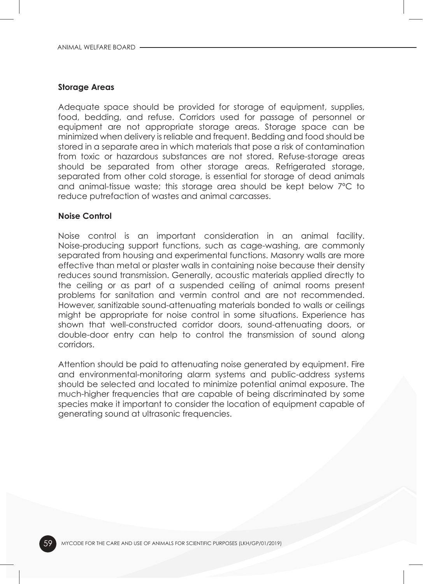### **Storage Areas**

Adequate space should be provided for storage of equipment, supplies, food, bedding, and refuse. Corridors used for passage of personnel or equipment are not appropriate storage areas. Storage space can be minimized when delivery is reliable and frequent. Bedding and food should be stored in a separate area in which materials that pose a risk of contamination from toxic or hazardous substances are not stored. Refuse-storage areas should be separated from other storage areas. Refrigerated storage, separated from other cold storage, is essential for storage of dead animals and animal-tissue waste; this storage area should be kept below 7ºC to reduce putrefaction of wastes and animal carcasses.

# **Noise Control**

Noise control is an important consideration in an animal facility. Noise-producing support functions, such as cage-washing, are commonly separated from housing and experimental functions. Masonry walls are more effective than metal or plaster walls in containing noise because their density reduces sound transmission. Generally, acoustic materials applied directly to the ceiling or as part of a suspended ceiling of animal rooms present problems for sanitation and vermin control and are not recommended. However, sanitizable sound-attenuating materials bonded to walls or ceilings might be appropriate for noise control in some situations. Experience has shown that well-constructed corridor doors, sound-attenuating doors, or double-door entry can help to control the transmission of sound along corridors.

Attention should be paid to attenuating noise generated by equipment. Fire and environmental-monitoring alarm systems and public-address systems should be selected and located to minimize potential animal exposure. The much-higher frequencies that are capable of being discriminated by some species make it important to consider the location of equipment capable of generating sound at ultrasonic frequencies.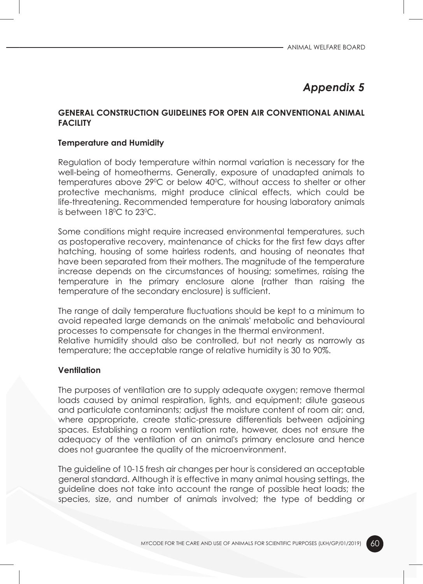# **GENERAL CONSTRUCTION GUIDELINES FOR OPEN AIR CONVENTIONAL ANIMAL FACILITY**

### **Temperature and Humidity**

Regulation of body temperature within normal variation is necessary for the well-being of homeotherms. Generally, exposure of unadapted animals to temperatures above 29°C or below 40°C, without access to shelter or other protective mechanisms, might produce clinical effects, which could be life-threatening. Recommended temperature for housing laboratory animals is between 18ºC to 23ºC.

Some conditions might require increased environmental temperatures, such as postoperative recovery, maintenance of chicks for the first few days after hatching, housing of some hairless rodents, and housing of neonates that have been separated from their mothers. The magnitude of the temperature increase depends on the circumstances of housing; sometimes, raising the temperature in the primary enclosure alone (rather than raising the temperature of the secondary enclosure) is sufficient.

The range of daily temperature fluctuations should be kept to a minimum to avoid repeated large demands on the animals' metabolic and behavioural processes to compensate for changes in the thermal environment. Relative humidity should also be controlled, but not nearly as narrowly as temperature; the acceptable range of relative humidity is 30 to 90%.

# **Ventilation**

The purposes of ventilation are to supply adequate oxygen; remove thermal loads caused by animal respiration, lights, and equipment; dilute gaseous and particulate contaminants; adjust the moisture content of room air; and, where appropriate, create static-pressure differentials between adjoining spaces. Establishing a room ventilation rate, however, does not ensure the adequacy of the ventilation of an animal's primary enclosure and hence does not guarantee the quality of the microenvironment.

The guideline of 10-15 fresh air changes per hour is considered an acceptable general standard. Although it is effective in many animal housing settings, the guideline does not take into account the range of possible heat loads; the species, size, and number of animals involved; the type of bedding or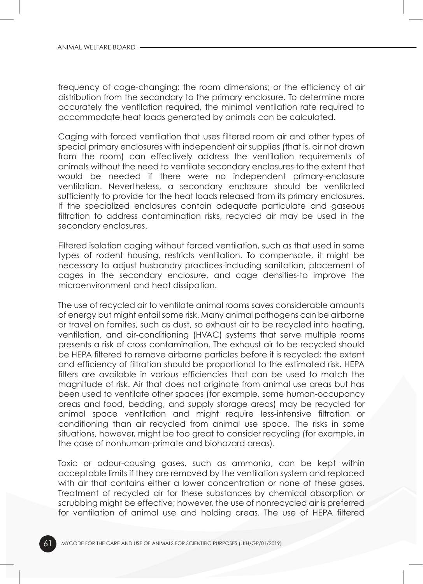frequency of cage-changing; the room dimensions; or the efficiency of air distribution from the secondary to the primary enclosure. To determine more accurately the ventilation required, the minimal ventilation rate required to accommodate heat loads generated by animals can be calculated.

Caging with forced ventilation that uses filtered room air and other types of special primary enclosures with independent air supplies (that is, air not drawn from the room) can effectively address the ventilation requirements of animals without the need to ventilate secondary enclosures to the extent that would be needed if there were no independent primary-enclosure ventilation. Nevertheless, a secondary enclosure should be ventilated sufficiently to provide for the heat loads released from its primary enclosures. If the specialized enclosures contain adequate particulate and gaseous filtration to address contamination risks, recycled air may be used in the secondary enclosures.

Filtered isolation caging without forced ventilation, such as that used in some types of rodent housing, restricts ventilation. To compensate, it might be necessary to adjust husbandry practices-including sanitation, placement of cages in the secondary enclosure, and cage densities-to improve the microenvironment and heat dissipation.

The use of recycled air to ventilate animal rooms saves considerable amounts of energy but might entail some risk. Many animal pathogens can be airborne or travel on fomites, such as dust, so exhaust air to be recycled into heating, ventilation, and air-conditioning (HVAC) systems that serve multiple rooms presents a risk of cross contamination. The exhaust air to be recycled should be HEPA filtered to remove airborne particles before it is recycled; the extent and efficiency of filtration should be proportional to the estimated risk. HEPA filters are available in various efficiencies that can be used to match the magnitude of risk. Air that does not originate from animal use areas but has been used to ventilate other spaces (for example, some human-occupancy areas and food, bedding, and supply storage areas) may be recycled for animal space ventilation and might require less-intensive filtration or conditioning than air recycled from animal use space. The risks in some situations, however, might be too great to consider recycling (for example, in the case of nonhuman-primate and biohazard areas).

Toxic or odour-causing gases, such as ammonia, can be kept within acceptable limits if they are removed by the ventilation system and replaced with air that contains either a lower concentration or none of these gases. Treatment of recycled air for these substances by chemical absorption or scrubbing might be effective; however, the use of nonrecycled air is preferred for ventilation of animal use and holding areas. The use of HEPA filtered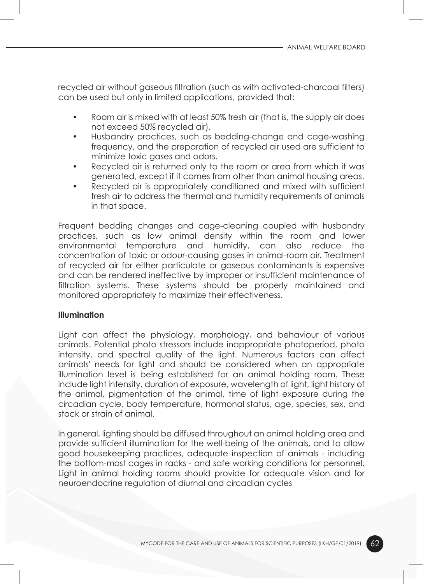recycled air without gaseous filtration (such as with activated-charcoal filters) can be used but only in limited applications, provided that:

- Room air is mixed with at least 50% fresh air (that is, the supply air does not exceed 50% recycled air).
- Husbandry practices, such as bedding-change and cage-washing frequency, and the preparation of recycled air used are sufficient to minimize toxic gases and odors.
- Recycled air is returned only to the room or area from which it was generated, except if it comes from other than animal housing areas.
- Recycled air is appropriately conditioned and mixed with sufficient fresh air to address the thermal and humidity requirements of animals in that space.

Frequent bedding changes and cage-cleaning coupled with husbandry practices, such as low animal density within the room and lower environmental temperature and humidity, can also reduce the concentration of toxic or odour-causing gases in animal-room air. Treatment of recycled air for either particulate or gaseous contaminants is expensive and can be rendered ineffective by improper or insufficient maintenance of filtration systems. These systems should be properly maintained and monitored appropriately to maximize their effectiveness.

### **Illumination**

Light can affect the physiology, morphology, and behaviour of various animals. Potential photo stressors include inappropriate photoperiod, photo intensity, and spectral quality of the light. Numerous factors can affect animals' needs for light and should be considered when an appropriate illumination level is being established for an animal holding room. These include light intensity, duration of exposure, wavelength of light, light history of the animal, pigmentation of the animal, time of light exposure during the circadian cycle, body temperature, hormonal status, age, species, sex, and stock or strain of animal.

In general, lighting should be diffused throughout an animal holding area and provide sufficient illumination for the well-being of the animals, and to allow good housekeeping practices, adequate inspection of animals - including the bottom-most cages in racks - and safe working conditions for personnel. Light in animal holding rooms should provide for adequate vision and for neuroendocrine regulation of diurnal and circadian cycles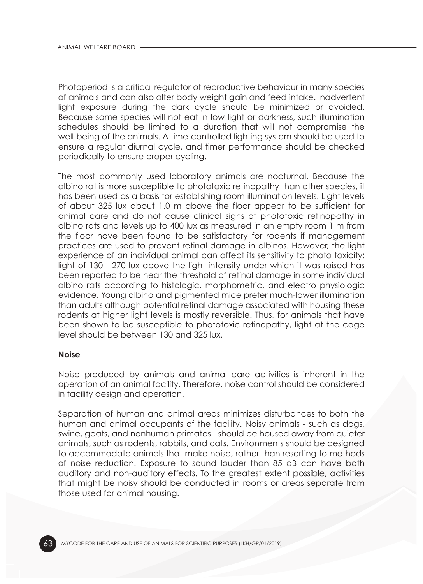Photoperiod is a critical regulator of reproductive behaviour in many species of animals and can also alter body weight gain and feed intake. Inadvertent light exposure during the dark cycle should be minimized or avoided. Because some species will not eat in low light or darkness, such illumination schedules should be limited to a duration that will not compromise the well-being of the animals. A time-controlled lighting system should be used to ensure a regular diurnal cycle, and timer performance should be checked periodically to ensure proper cycling.

The most commonly used laboratory animals are nocturnal. Because the albino rat is more susceptible to phototoxic retinopathy than other species, it has been used as a basis for establishing room illumination levels. Light levels of about 325 lux about 1.0 m above the floor appear to be sufficient for animal care and do not cause clinical signs of phototoxic retinopathy in albino rats and levels up to 400 lux as measured in an empty room 1 m from the floor have been found to be satisfactory for rodents if management practices are used to prevent retinal damage in albinos. However, the light experience of an individual animal can affect its sensitivity to photo toxicity; light of 130 - 270 lux above the light intensity under which it was raised has been reported to be near the threshold of retinal damage in some individual albino rats according to histologic, morphometric, and electro physiologic evidence. Young albino and pigmented mice prefer much-lower illumination than adults although potential retinal damage associated with housing these rodents at higher light levels is mostly reversible. Thus, for animals that have been shown to be susceptible to phototoxic retinopathy, light at the cage level should be between 130 and 325 lux.

### **Noise**

Noise produced by animals and animal care activities is inherent in the operation of an animal facility. Therefore, noise control should be considered in facility design and operation.

Separation of human and animal areas minimizes disturbances to both the human and animal occupants of the facility. Noisy animals - such as dogs, swine, goats, and nonhuman primates - should be housed away from quieter animals, such as rodents, rabbits, and cats. Environments should be designed to accommodate animals that make noise, rather than resorting to methods of noise reduction. Exposure to sound louder than 85 dB can have both auditory and non-auditory effects. To the greatest extent possible, activities that might be noisy should be conducted in rooms or areas separate from those used for animal housing.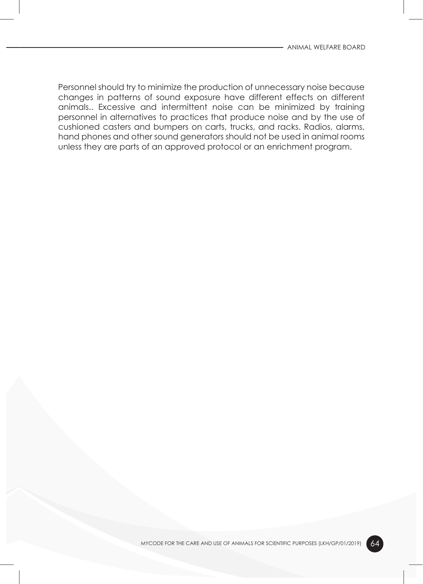Personnel should try to minimize the production of unnecessary noise because changes in patterns of sound exposure have different effects on different animals.. Excessive and intermittent noise can be minimized by training personnel in alternatives to practices that produce noise and by the use of cushioned casters and bumpers on carts, trucks, and racks. Radios, alarms, hand phones and other sound generators should not be used in animal rooms unless they are parts of an approved protocol or an enrichment program.

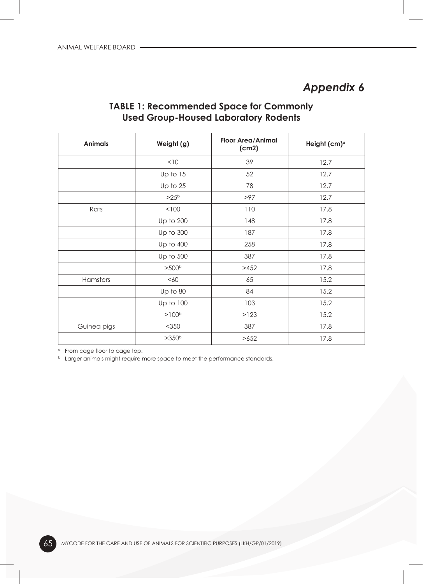#### **Floor Area/Animal (cm2)** Rats **Hamsters** Guinea pigs  $<10$ Up to 15 Up to 25  $>25<sup>b</sup>$  $100$ Up to 200 Up to 300 Up to 400 Up to 500  $>500<sup>b</sup>$  $<60$ Up to 80 Up to 100  $>100<sup>b</sup>$ <350  $>350<sup>b</sup>$ 39 52 78 >97 110 148 187 258 387 >452 65 84 103 >123 387 >652 12.7 12.7 12.7 12.7 17.8 17.8 17.8 17.8 17.8 17.8 15.2 15.2 15.2 15.2 17.8 17.8 Animals **Meight (g) Height (cm)a Height (cm)a Height (cm)a**

# **TABLE 1: Recommended Space for Commonly Used Group-Housed Laboratory Rodents**

a From cage floor to cage top.

**b** Larger animals might require more space to meet the performance standards.

65 MYCODE FOR THE CARE AND USE OF ANIMALS FOR SCIENTIFIC PURPOSES (LKH/GP/01/2019)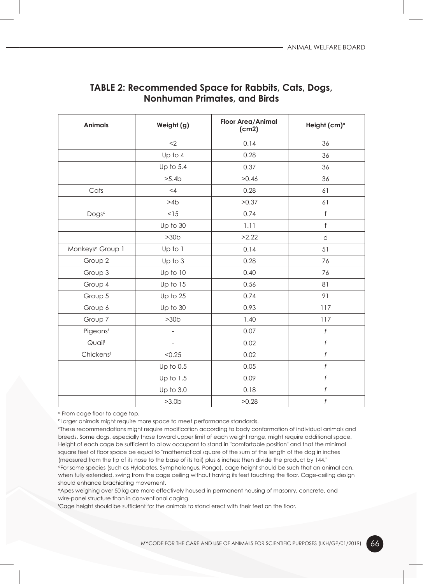| <b>Animals</b>               | Weight (g)        | Floor Area/Animal<br>(cm2) | Height (cm) <sup>a</sup> |
|------------------------------|-------------------|----------------------------|--------------------------|
|                              | $<$ 2             | 0.14                       | 36                       |
|                              | Up to 4           | 0.28                       | 36                       |
|                              | Up to $5.4$       | 0.37                       | 36                       |
|                              | >5.4b             | >0.46                      | 36                       |
| Cats                         | $<$ 4             | 0.28                       | 61                       |
|                              | >4b               | >0.37                      | 61                       |
| Dogs <sup>c</sup>            | <15               | 0.74                       | f                        |
|                              | Up to 30          | 1.11                       | f                        |
|                              | >30b              | >2.22                      | d                        |
| Monkeys <sup>e</sup> Group 1 | Up to 1           | 0.14                       | 51                       |
| Group 2                      | Up to 3           | 0.28                       | 76                       |
| Group 3                      | Up to 10          | 0.40                       | 76                       |
| Group 4                      | Up to 15          | 0.56                       | 81                       |
| Group 5                      | Up to 25          | 0.74                       | 91                       |
| Group 6                      | Up to 30          | 0.93                       | 117                      |
| Group 7                      | >30b              | 1.40                       | 117                      |
| Pigeonsf                     | $\frac{1}{2}$     | 0.07                       | $\mathbf f$              |
| Quailf                       | ÷,                | 0.02                       | $\mathbf f$              |
| Chickens <sup>f</sup>        | < 0.25            | 0.02                       | $\mathbf f$              |
|                              | Up to $0.5$       | 0.05                       | f                        |
|                              | Up to $1.5$       | 0.09                       | f                        |
|                              | Up to 3.0         | 0.18                       | f                        |
|                              | >3.0 <sub>b</sub> | >0.28                      | f                        |

#### **TABLE 2: Recommended Space for Rabbits, Cats, Dogs, Nonhuman Primates, and Birds**

a From cage floor to cage top.

**bLarger animals might require more space to meet performance standards.** 

cThese recommendations might require modification according to body conformation of individual animals and breeds. Some dogs, especially those toward upper limit of each weight range, might require additional space. Height of each cage be sufficient to allow occupant to stand in "comfortable position" and that the minimal square feet of floor space be equal to "mathematical square of the sum of the length of the dog in inches (measured from the tip of its nose to the base of its tail) plus 6 inches; then divide the product by 144." dFor some species (such as Hylobates, Symphalangus, Pongo), cage height should be such that an animal can, when fully extended, swing from the cage ceiling without having its feet touching the floor. Cage-ceiling design should enhance brachiating movement.

eApes weighing over 50 kg are more effectively housed in permanent housing of masonry, concrete, and wire-panel structure than in conventional caging.

f Cage height should be sufficient for the animals to stand erect with their feet on the floor.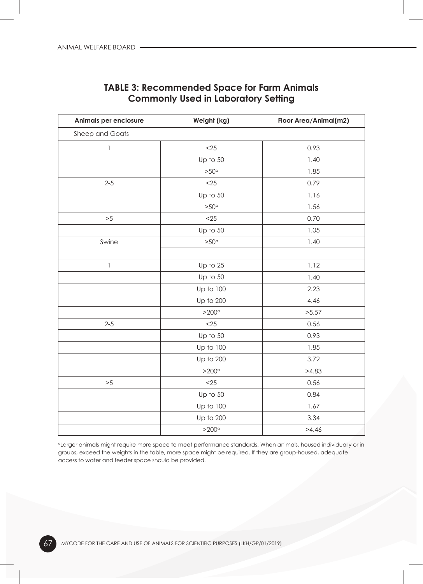| Animals per enclosure                 | Weight (kg)  | Floor Area/Animal(m2) |
|---------------------------------------|--------------|-----------------------|
| Sheep and Goats                       |              |                       |
| $\begin{array}{c} \hline \end{array}$ | $<$ 25       | 0.93                  |
|                                       | Up to 50     | 1.40                  |
|                                       | $>50^\circ$  | 1.85                  |
| $2 - 5$                               | $<$ 25       | 0.79                  |
|                                       | Up to 50     | 1.16                  |
|                                       | $>50^\circ$  | 1.56                  |
| >5                                    | $<$ 25       | 0.70                  |
|                                       | Up to 50     | 1.05                  |
| Swine                                 | $>50^\circ$  | 1.40                  |
|                                       |              |                       |
| $\mathbf{I}$                          | Up to 25     | 1.12                  |
|                                       | Up to 50     | 1.40                  |
|                                       | Up to 100    | 2.23                  |
|                                       | Up to 200    | 4.46                  |
|                                       | $>200^\circ$ | >5.57                 |
| $2 - 5$                               | $<$ 25       | 0.56                  |
|                                       | Up to 50     | 0.93                  |
|                                       | Up to 100    | 1.85                  |
|                                       | Up to 200    | 3.72                  |
|                                       | $>200^\circ$ | >4.83                 |
| >5                                    | $<$ 25       | 0.56                  |
|                                       | Up to 50     | 0.84                  |
|                                       | Up to 100    | 1.67                  |
|                                       | Up to 200    | 3.34                  |
|                                       | $>200^\circ$ | >4.46                 |

### **TABLE 3: Recommended Space for Farm Animals Commonly Used in Laboratory Setting**

aLarger animals might require more space to meet performance standards. When animals, housed individually or in groups, exceed the weights in the table, more space might be required. If they are group-housed, adequate access to water and feeder space should be provided.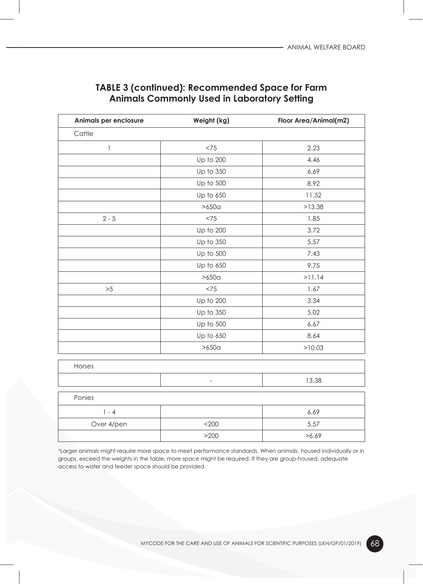| Animals per enclosure                 | Weight (kg) | Floor Area/Animal(m2) |
|---------------------------------------|-------------|-----------------------|
| Cattle                                |             |                       |
| $\begin{array}{c} \hline \end{array}$ | < 75        | 2.23                  |
|                                       | Up to 200   | 4.46                  |
|                                       | Up to 350   | 6.69                  |
|                                       | Up to 500   | 8.92                  |
|                                       | Up to 650   | 11.52                 |
|                                       | >650a       | >13.38                |
| $2 - 5$                               | $<75$       | 1.85                  |
|                                       | Up to 200   | 3.72                  |
|                                       | Up to 350   | 5.57                  |
|                                       | Up to 500   | 7.43                  |
|                                       | Up to 650   | 9.75                  |
|                                       | >650a       | >11.14                |
| >5                                    | <75         | 1.67                  |
|                                       | Up to 200   | 3.34                  |
|                                       | Up to 350   | 5.02                  |
|                                       | Up to 500   | 6.67                  |
|                                       | Up to 650   | 8.64                  |
|                                       | >650a       | >10.03                |
| Horses                                |             |                       |
|                                       | ÷,          | 13.38                 |
| Ponies                                |             |                       |
| $1 - 4$                               |             | 6.69                  |
| Over 4/pen                            | $<$ 200     | 5.57                  |
|                                       | >200        | >6.69                 |

### **TABLE 3 (continued): Recommended Space for Farm Animals Commonly Used in Laboratory Setting**

aLarger animals might require more space to meet performance standards. When animals, housed individually or in groups, exceed the weights in the table, more space might be required. If they are group-housed, adequate access to water and feeder space should be provided.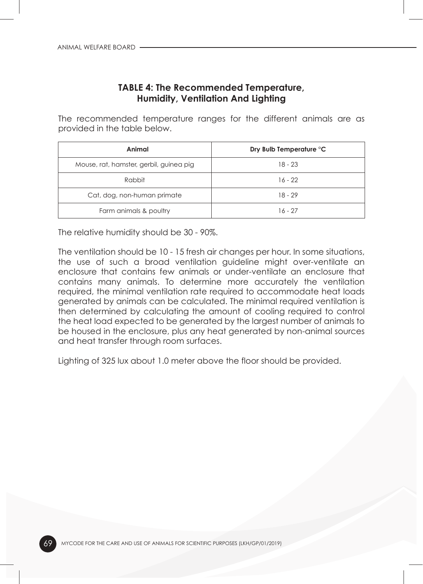### **TABLE 4: The Recommended Temperature, Humidity, Ventilation And Lighting**

The recommended temperature ranges for the different animals are as provided in the table below.

| Animal                                  | Dry Bulb Temperature °C |
|-----------------------------------------|-------------------------|
| Mouse, rat, hamster, gerbil, guinea pig | $18 - 23$               |
| Rabbit                                  | $16 - 22$               |
| Cat, dog, non-human primate             | $18 - 29$               |
| Farm animals & poultry                  | $16 - 27$               |

The relative humidity should be 30 - 90%.

The ventilation should be 10 - 15 fresh air changes per hour. In some situations, the use of such a broad ventilation guideline might over-ventilate an enclosure that contains few animals or under-ventilate an enclosure that contains many animals. To determine more accurately the ventilation required, the minimal ventilation rate required to accommodate heat loads generated by animals can be calculated. The minimal required ventilation is then determined by calculating the amount of cooling required to control the heat load expected to be generated by the largest number of animals to be housed in the enclosure, plus any heat generated by non-animal sources and heat transfer through room surfaces.

Lighting of 325 lux about 1.0 meter above the floor should be provided.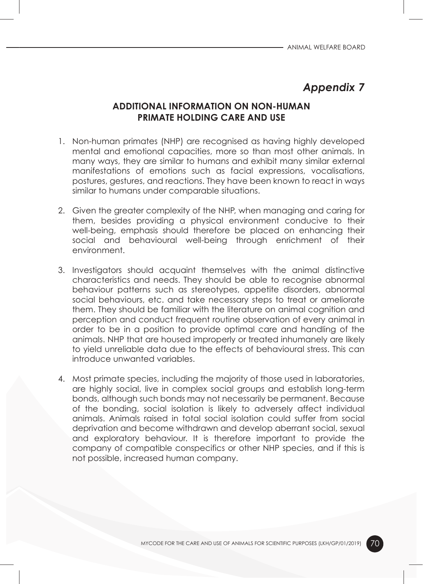### *Appendix 7*

### **ADDITIONAL INFORMATION ON NON-HUMAN PRIMATE HOLDING CARE AND USE**

- 1. Non-human primates (NHP) are recognised as having highly developed mental and emotional capacities, more so than most other animals. In many ways, they are similar to humans and exhibit many similar external manifestations of emotions such as facial expressions, vocalisations, postures, gestures, and reactions. They have been known to react in ways similar to humans under comparable situations.
- 2. Given the greater complexity of the NHP, when managing and caring for them, besides providing a physical environment conducive to their well-being, emphasis should therefore be placed on enhancing their social and behavioural well-being through enrichment of their environment.
- 3. Investigators should acquaint themselves with the animal distinctive characteristics and needs. They should be able to recognise abnormal behaviour patterns such as stereotypes, appetite disorders, abnormal social behaviours, etc. and take necessary steps to treat or ameliorate them. They should be familiar with the literature on animal cognition and perception and conduct frequent routine observation of every animal in order to be in a position to provide optimal care and handling of the animals. NHP that are housed improperly or treated inhumanely are likely to yield unreliable data due to the effects of behavioural stress. This can introduce unwanted variables.
- 4. Most primate species, including the majority of those used in laboratories, are highly social, live in complex social groups and establish long-term bonds, although such bonds may not necessarily be permanent. Because of the bonding, social isolation is likely to adversely affect individual animals. Animals raised in total social isolation could suffer from social deprivation and become withdrawn and develop aberrant social, sexual and exploratory behaviour. It is therefore important to provide the company of compatible conspecifics or other NHP species, and if this is not possible, increased human company.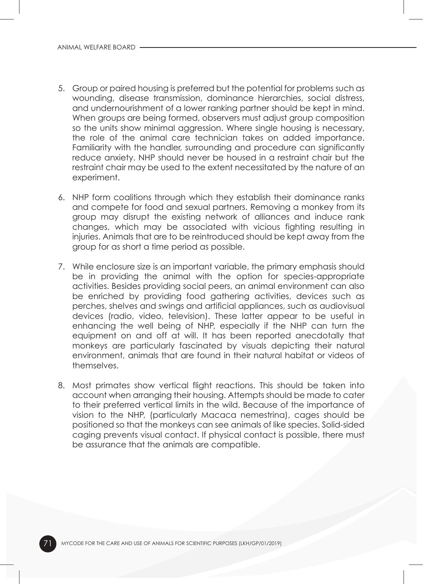- 5. Group or paired housing is preferred but the potential for problems such as wounding, disease transmission, dominance hierarchies, social distress, and undernourishment of a lower ranking partner should be kept in mind. When groups are being formed, observers must adjust group composition so the units show minimal aggression. Where single housing is necessary, the role of the animal care technician takes on added importance. Familiarity with the handler, surrounding and procedure can significantly reduce anxiety. NHP should never be housed in a restraint chair but the restraint chair may be used to the extent necessitated by the nature of an experiment.
- 6. NHP form coalitions through which they establish their dominance ranks and compete for food and sexual partners. Removing a monkey from its group may disrupt the existing network of alliances and induce rank changes, which may be associated with vicious fighting resulting in injuries. Animals that are to be reintroduced should be kept away from the group for as short a time period as possible.
- 7. While enclosure size is an important variable, the primary emphasis should be in providing the animal with the option for species-appropriate activities. Besides providing social peers, an animal environment can also be enriched by providing food gathering activities, devices such as perches, shelves and swings and artificial appliances, such as audiovisual devices (radio, video, television). These latter appear to be useful in enhancing the well being of NHP, especially if the NHP can turn the equipment on and off at will. It has been reported anecdotally that monkeys are particularly fascinated by visuals depicting their natural environment, animals that are found in their natural habitat or videos of themselves.
- 8. Most primates show vertical flight reactions. This should be taken into account when arranging their housing. Attempts should be made to cater to their preferred vertical limits in the wild. Because of the importance of vision to the NHP, (particularly Macaca nemestrina), cages should be positioned so that the monkeys can see animals of like species. Solid-sided caging prevents visual contact. If physical contact is possible, there must be assurance that the animals are compatible.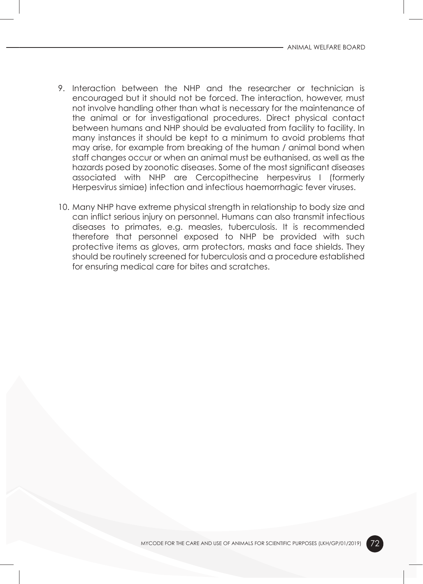- 9. Interaction between the NHP and the researcher or technician is encouraged but it should not be forced. The interaction, however, must not involve handling other than what is necessary for the maintenance of the animal or for investigational procedures. Direct physical contact between humans and NHP should be evaluated from facility to facility. In many instances it should be kept to a minimum to avoid problems that may arise, for example from breaking of the human / animal bond when staff changes occur or when an animal must be euthanised, as well as the hazards posed by zoonotic diseases. Some of the most significant diseases associated with NHP are Cercopithecine herpesvirus I (formerly Herpesvirus simiae) infection and infectious haemorrhagic fever viruses.
- 10. Many NHP have extreme physical strength in relationship to body size and can inflict serious injury on personnel. Humans can also transmit infectious diseases to primates, e.g. measles, tuberculosis. It is recommended therefore that personnel exposed to NHP be provided with such protective items as gloves, arm protectors, masks and face shields. They should be routinely screened for tuberculosis and a procedure established for ensuring medical care for bites and scratches.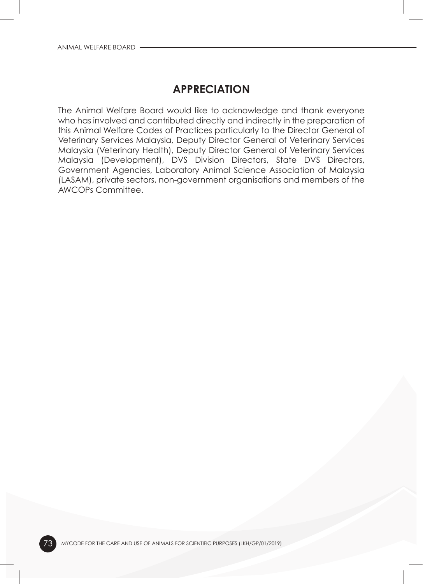## **APPRECIATION**

The Animal Welfare Board would like to acknowledge and thank everyone who has involved and contributed directly and indirectly in the preparation of this Animal Welfare Codes of Practices particularly to the Director General of Veterinary Services Malaysia, Deputy Director General of Veterinary Services Malaysia (Veterinary Health), Deputy Director General of Veterinary Services Malaysia (Development), DVS Division Directors, State DVS Directors, Government Agencies, Laboratory Animal Science Association of Malaysia (LASAM), private sectors, non-government organisations and members of the AWCOPs Committee.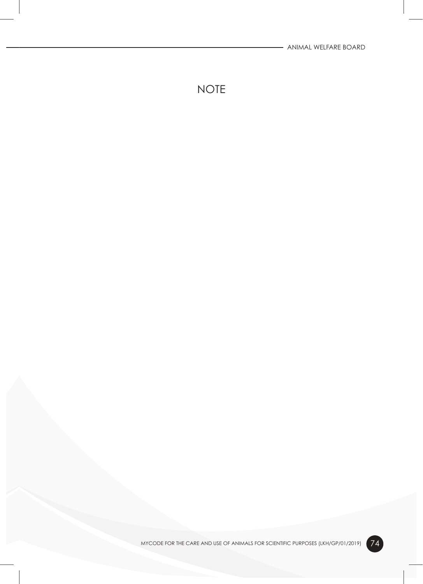NOTE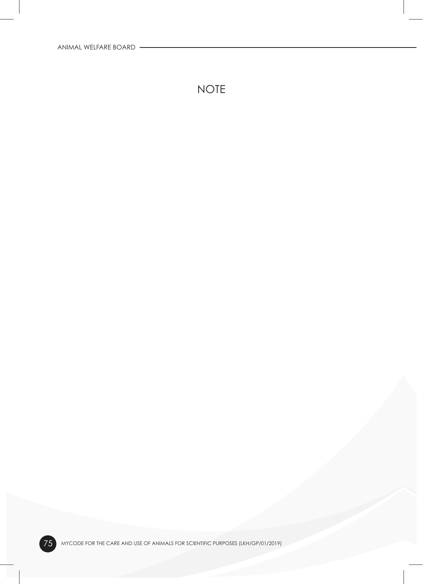### NOTE And the state of the state of the state of the state of the state of the state of the state of the state o

75 MYCODE FOR THE CARE AND USE OF ANIMALS FOR SCIENTIFIC PURPOSES (LKH/GP/01/2019)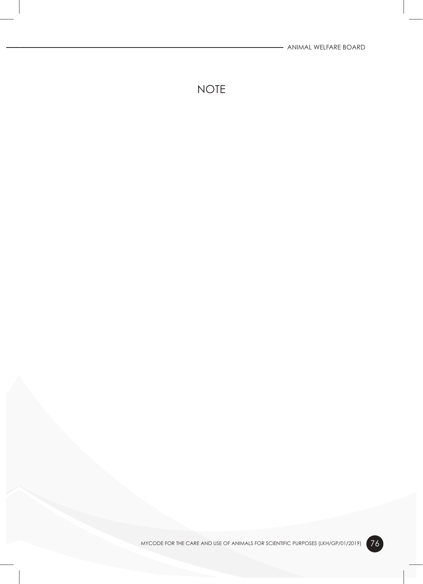NOTE NOTE